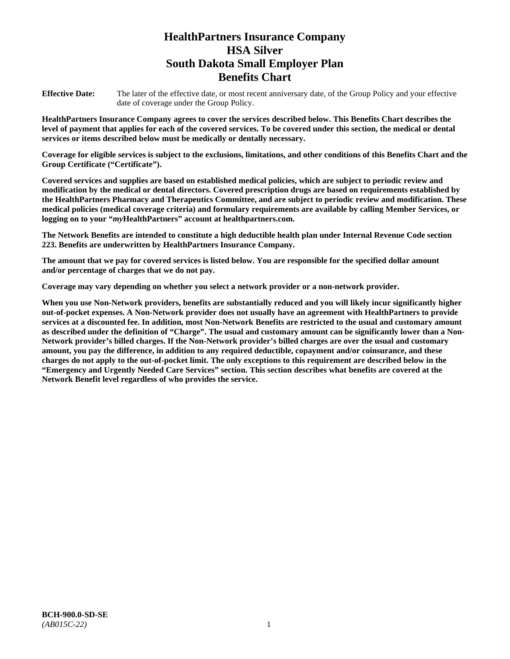# **HealthPartners Insurance Company HSA Silver South Dakota Small Employer Plan Benefits Chart**

**Effective Date:** The later of the effective date, or most recent anniversary date, of the Group Policy and your effective date of coverage under the Group Policy.

**HealthPartners Insurance Company agrees to cover the services described below. This Benefits Chart describes the level of payment that applies for each of the covered services. To be covered under this section, the medical or dental services or items described below must be medically or dentally necessary.**

**Coverage for eligible services is subject to the exclusions, limitations, and other conditions of this Benefits Chart and the Group Certificate ("Certificate").**

**Covered services and supplies are based on established medical policies, which are subject to periodic review and modification by the medical or dental directors. Covered prescription drugs are based on requirements established by the HealthPartners Pharmacy and Therapeutics Committee, and are subject to periodic review and modification. These medical policies (medical coverage criteria) and formulary requirements are available by calling Member Services, or logging on to your "***my***HealthPartners" account at [healthpartners.com.](file://isntmacsrv0/www.healthpartners.com)**

**The Network Benefits are intended to constitute a high deductible health plan under Internal Revenue Code section 223. Benefits are underwritten by HealthPartners Insurance Company.**

**The amount that we pay for covered services is listed below. You are responsible for the specified dollar amount and/or percentage of charges that we do not pay.**

**Coverage may vary depending on whether you select a network provider or a non-network provider.**

**When you use Non-Network providers, benefits are substantially reduced and you will likely incur significantly higher out-of-pocket expenses. A Non-Network provider does not usually have an agreement with HealthPartners to provide services at a discounted fee. In addition, most Non-Network Benefits are restricted to the usual and customary amount as described under the definition of "Charge". The usual and customary amount can be significantly lower than a Non-Network provider's billed charges. If the Non-Network provider's billed charges are over the usual and customary amount, you pay the difference, in addition to any required deductible, copayment and/or coinsurance, and these charges do not apply to the out-of-pocket limit. The only exceptions to this requirement are described below in the "Emergency and Urgently Needed Care Services" section. This section describes what benefits are covered at the Network Benefit level regardless of who provides the service.**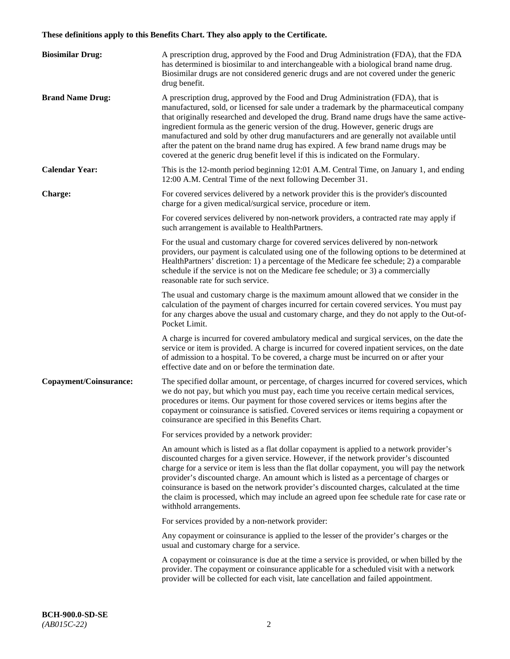# **These definitions apply to this Benefits Chart. They also apply to the Certificate.**

| <b>Biosimilar Drug:</b> | A prescription drug, approved by the Food and Drug Administration (FDA), that the FDA<br>has determined is biosimilar to and interchangeable with a biological brand name drug.<br>Biosimilar drugs are not considered generic drugs and are not covered under the generic<br>drug benefit.                                                                                                                                                                                                                                                                                                                                         |
|-------------------------|-------------------------------------------------------------------------------------------------------------------------------------------------------------------------------------------------------------------------------------------------------------------------------------------------------------------------------------------------------------------------------------------------------------------------------------------------------------------------------------------------------------------------------------------------------------------------------------------------------------------------------------|
| <b>Brand Name Drug:</b> | A prescription drug, approved by the Food and Drug Administration (FDA), that is<br>manufactured, sold, or licensed for sale under a trademark by the pharmaceutical company<br>that originally researched and developed the drug. Brand name drugs have the same active-<br>ingredient formula as the generic version of the drug. However, generic drugs are<br>manufactured and sold by other drug manufacturers and are generally not available until<br>after the patent on the brand name drug has expired. A few brand name drugs may be<br>covered at the generic drug benefit level if this is indicated on the Formulary. |
| <b>Calendar Year:</b>   | This is the 12-month period beginning 12:01 A.M. Central Time, on January 1, and ending<br>12:00 A.M. Central Time of the next following December 31.                                                                                                                                                                                                                                                                                                                                                                                                                                                                               |
| <b>Charge:</b>          | For covered services delivered by a network provider this is the provider's discounted<br>charge for a given medical/surgical service, procedure or item.                                                                                                                                                                                                                                                                                                                                                                                                                                                                           |
|                         | For covered services delivered by non-network providers, a contracted rate may apply if<br>such arrangement is available to HealthPartners.                                                                                                                                                                                                                                                                                                                                                                                                                                                                                         |
|                         | For the usual and customary charge for covered services delivered by non-network<br>providers, our payment is calculated using one of the following options to be determined at<br>HealthPartners' discretion: 1) a percentage of the Medicare fee schedule; 2) a comparable<br>schedule if the service is not on the Medicare fee schedule; or 3) a commercially<br>reasonable rate for such service.                                                                                                                                                                                                                              |
|                         | The usual and customary charge is the maximum amount allowed that we consider in the<br>calculation of the payment of charges incurred for certain covered services. You must pay<br>for any charges above the usual and customary charge, and they do not apply to the Out-of-<br>Pocket Limit.                                                                                                                                                                                                                                                                                                                                    |
|                         | A charge is incurred for covered ambulatory medical and surgical services, on the date the<br>service or item is provided. A charge is incurred for covered inpatient services, on the date<br>of admission to a hospital. To be covered, a charge must be incurred on or after your<br>effective date and on or before the termination date.                                                                                                                                                                                                                                                                                       |
| Copayment/Coinsurance:  | The specified dollar amount, or percentage, of charges incurred for covered services, which<br>we do not pay, but which you must pay, each time you receive certain medical services,<br>procedures or items. Our payment for those covered services or items begins after the<br>copayment or coinsurance is satisfied. Covered services or items requiring a copayment or<br>coinsurance are specified in this Benefits Chart.                                                                                                                                                                                                    |
|                         | For services provided by a network provider:                                                                                                                                                                                                                                                                                                                                                                                                                                                                                                                                                                                        |
|                         | An amount which is listed as a flat dollar copayment is applied to a network provider's<br>discounted charges for a given service. However, if the network provider's discounted<br>charge for a service or item is less than the flat dollar copayment, you will pay the network<br>provider's discounted charge. An amount which is listed as a percentage of charges or<br>coinsurance is based on the network provider's discounted charges, calculated at the time<br>the claim is processed, which may include an agreed upon fee schedule rate for case rate or<br>withhold arrangements.                                    |
|                         | For services provided by a non-network provider:                                                                                                                                                                                                                                                                                                                                                                                                                                                                                                                                                                                    |
|                         | Any copayment or coinsurance is applied to the lesser of the provider's charges or the<br>usual and customary charge for a service.                                                                                                                                                                                                                                                                                                                                                                                                                                                                                                 |
|                         | A copayment or coinsurance is due at the time a service is provided, or when billed by the<br>provider. The copayment or coinsurance applicable for a scheduled visit with a network<br>provider will be collected for each visit, late cancellation and failed appointment.                                                                                                                                                                                                                                                                                                                                                        |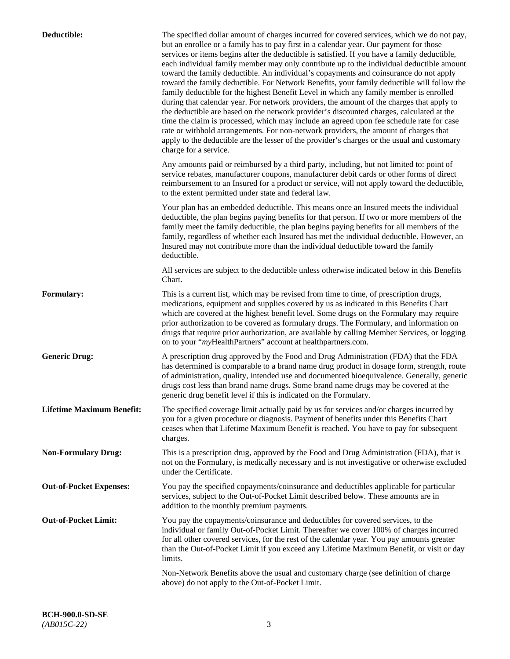| Deductible:                      | The specified dollar amount of charges incurred for covered services, which we do not pay,<br>but an enrollee or a family has to pay first in a calendar year. Our payment for those<br>services or items begins after the deductible is satisfied. If you have a family deductible,<br>each individual family member may only contribute up to the individual deductible amount<br>toward the family deductible. An individual's copayments and coinsurance do not apply<br>toward the family deductible. For Network Benefits, your family deductible will follow the<br>family deductible for the highest Benefit Level in which any family member is enrolled<br>during that calendar year. For network providers, the amount of the charges that apply to<br>the deductible are based on the network provider's discounted charges, calculated at the<br>time the claim is processed, which may include an agreed upon fee schedule rate for case<br>rate or withhold arrangements. For non-network providers, the amount of charges that<br>apply to the deductible are the lesser of the provider's charges or the usual and customary<br>charge for a service. |
|----------------------------------|------------------------------------------------------------------------------------------------------------------------------------------------------------------------------------------------------------------------------------------------------------------------------------------------------------------------------------------------------------------------------------------------------------------------------------------------------------------------------------------------------------------------------------------------------------------------------------------------------------------------------------------------------------------------------------------------------------------------------------------------------------------------------------------------------------------------------------------------------------------------------------------------------------------------------------------------------------------------------------------------------------------------------------------------------------------------------------------------------------------------------------------------------------------------|
|                                  | Any amounts paid or reimbursed by a third party, including, but not limited to: point of<br>service rebates, manufacturer coupons, manufacturer debit cards or other forms of direct<br>reimbursement to an Insured for a product or service, will not apply toward the deductible,<br>to the extent permitted under state and federal law.                                                                                                                                                                                                                                                                                                                                                                                                                                                                                                                                                                                                                                                                                                                                                                                                                            |
|                                  | Your plan has an embedded deductible. This means once an Insured meets the individual<br>deductible, the plan begins paying benefits for that person. If two or more members of the<br>family meet the family deductible, the plan begins paying benefits for all members of the<br>family, regardless of whether each Insured has met the individual deductible. However, an<br>Insured may not contribute more than the individual deductible toward the family<br>deductible.                                                                                                                                                                                                                                                                                                                                                                                                                                                                                                                                                                                                                                                                                       |
|                                  | All services are subject to the deductible unless otherwise indicated below in this Benefits<br>Chart.                                                                                                                                                                                                                                                                                                                                                                                                                                                                                                                                                                                                                                                                                                                                                                                                                                                                                                                                                                                                                                                                 |
| <b>Formulary:</b>                | This is a current list, which may be revised from time to time, of prescription drugs,<br>medications, equipment and supplies covered by us as indicated in this Benefits Chart<br>which are covered at the highest benefit level. Some drugs on the Formulary may require<br>prior authorization to be covered as formulary drugs. The Formulary, and information on<br>drugs that require prior authorization, are available by calling Member Services, or logging<br>on to your "myHealthPartners" account at healthpartners.com.                                                                                                                                                                                                                                                                                                                                                                                                                                                                                                                                                                                                                                  |
| <b>Generic Drug:</b>             | A prescription drug approved by the Food and Drug Administration (FDA) that the FDA<br>has determined is comparable to a brand name drug product in dosage form, strength, route<br>of administration, quality, intended use and documented bioequivalence. Generally, generic<br>drugs cost less than brand name drugs. Some brand name drugs may be covered at the<br>generic drug benefit level if this is indicated on the Formulary.                                                                                                                                                                                                                                                                                                                                                                                                                                                                                                                                                                                                                                                                                                                              |
| <b>Lifetime Maximum Benefit:</b> | The specified coverage limit actually paid by us for services and/or charges incurred by<br>you for a given procedure or diagnosis. Payment of benefits under this Benefits Chart<br>ceases when that Lifetime Maximum Benefit is reached. You have to pay for subsequent<br>charges.                                                                                                                                                                                                                                                                                                                                                                                                                                                                                                                                                                                                                                                                                                                                                                                                                                                                                  |
| <b>Non-Formulary Drug:</b>       | This is a prescription drug, approved by the Food and Drug Administration (FDA), that is<br>not on the Formulary, is medically necessary and is not investigative or otherwise excluded<br>under the Certificate.                                                                                                                                                                                                                                                                                                                                                                                                                                                                                                                                                                                                                                                                                                                                                                                                                                                                                                                                                      |
| <b>Out-of-Pocket Expenses:</b>   | You pay the specified copayments/coinsurance and deductibles applicable for particular<br>services, subject to the Out-of-Pocket Limit described below. These amounts are in<br>addition to the monthly premium payments.                                                                                                                                                                                                                                                                                                                                                                                                                                                                                                                                                                                                                                                                                                                                                                                                                                                                                                                                              |
| <b>Out-of-Pocket Limit:</b>      | You pay the copayments/coinsurance and deductibles for covered services, to the<br>individual or family Out-of-Pocket Limit. Thereafter we cover 100% of charges incurred<br>for all other covered services, for the rest of the calendar year. You pay amounts greater<br>than the Out-of-Pocket Limit if you exceed any Lifetime Maximum Benefit, or visit or day<br>limits.                                                                                                                                                                                                                                                                                                                                                                                                                                                                                                                                                                                                                                                                                                                                                                                         |
|                                  | Non-Network Benefits above the usual and customary charge (see definition of charge<br>above) do not apply to the Out-of-Pocket Limit.                                                                                                                                                                                                                                                                                                                                                                                                                                                                                                                                                                                                                                                                                                                                                                                                                                                                                                                                                                                                                                 |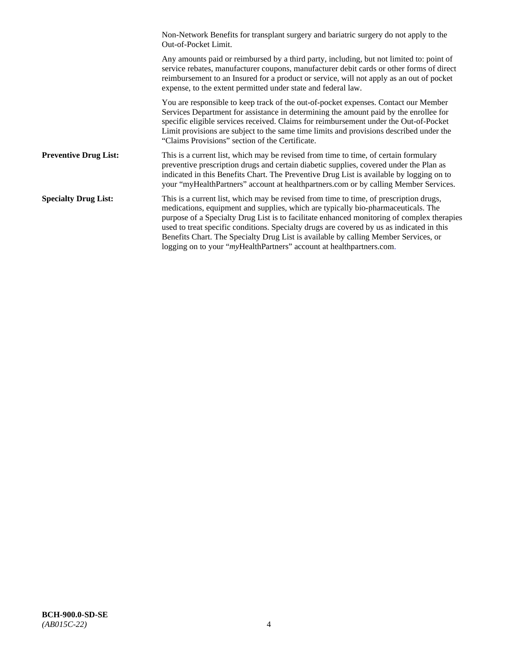|                              | Non-Network Benefits for transplant surgery and bariatric surgery do not apply to the<br>Out-of-Pocket Limit.                                                                                                                                                                                                                                                                                                                                                                                                                         |
|------------------------------|---------------------------------------------------------------------------------------------------------------------------------------------------------------------------------------------------------------------------------------------------------------------------------------------------------------------------------------------------------------------------------------------------------------------------------------------------------------------------------------------------------------------------------------|
|                              | Any amounts paid or reimbursed by a third party, including, but not limited to: point of<br>service rebates, manufacturer coupons, manufacturer debit cards or other forms of direct<br>reimbursement to an Insured for a product or service, will not apply as an out of pocket<br>expense, to the extent permitted under state and federal law.                                                                                                                                                                                     |
|                              | You are responsible to keep track of the out-of-pocket expenses. Contact our Member<br>Services Department for assistance in determining the amount paid by the enrollee for<br>specific eligible services received. Claims for reimbursement under the Out-of-Pocket<br>Limit provisions are subject to the same time limits and provisions described under the<br>"Claims Provisions" section of the Certificate.                                                                                                                   |
| <b>Preventive Drug List:</b> | This is a current list, which may be revised from time to time, of certain formulary<br>preventive prescription drugs and certain diabetic supplies, covered under the Plan as<br>indicated in this Benefits Chart. The Preventive Drug List is available by logging on to<br>your "myHealthPartners" account at healthpartners.com or by calling Member Services.                                                                                                                                                                    |
| <b>Specialty Drug List:</b>  | This is a current list, which may be revised from time to time, of prescription drugs,<br>medications, equipment and supplies, which are typically bio-pharmaceuticals. The<br>purpose of a Specialty Drug List is to facilitate enhanced monitoring of complex therapies<br>used to treat specific conditions. Specialty drugs are covered by us as indicated in this<br>Benefits Chart. The Specialty Drug List is available by calling Member Services, or<br>logging on to your "myHealthPartners" account at healthpartners.com. |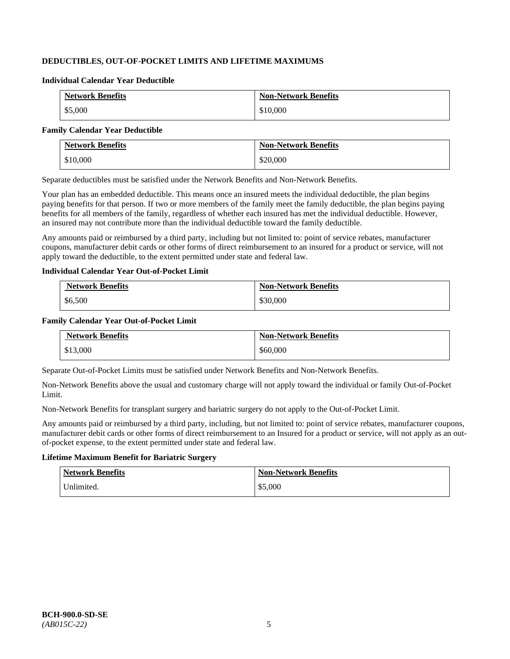# **DEDUCTIBLES, OUT-OF-POCKET LIMITS AND LIFETIME MAXIMUMS**

#### **Individual Calendar Year Deductible**

| <b>Network Benefits</b> | <b>Non-Network Benefits</b> |
|-------------------------|-----------------------------|
| \$5,000                 | \$10,000                    |

#### **Family Calendar Year Deductible**

| <b>Network Benefits</b> | <b>Non-Network Benefits</b> |
|-------------------------|-----------------------------|
| \$10,000                | \$20,000                    |

Separate deductibles must be satisfied under the Network Benefits and Non-Network Benefits.

Your plan has an embedded deductible. This means once an insured meets the individual deductible, the plan begins paying benefits for that person. If two or more members of the family meet the family deductible, the plan begins paying benefits for all members of the family, regardless of whether each insured has met the individual deductible. However, an insured may not contribute more than the individual deductible toward the family deductible.

Any amounts paid or reimbursed by a third party, including but not limited to: point of service rebates, manufacturer coupons, manufacturer debit cards or other forms of direct reimbursement to an insured for a product or service, will not apply toward the deductible, to the extent permitted under state and federal law.

#### **Individual Calendar Year Out-of-Pocket Limit**

| <b>Network Benefits</b> | <b>Non-Network Benefits</b> |
|-------------------------|-----------------------------|
| \$6,500                 | \$30,000                    |

#### **Family Calendar Year Out-of-Pocket Limit**

| <b>Network Benefits</b> | <b>Non-Network Benefits</b> |
|-------------------------|-----------------------------|
| \$13,000                | \$60,000                    |

Separate Out-of-Pocket Limits must be satisfied under Network Benefits and Non-Network Benefits.

Non-Network Benefits above the usual and customary charge will not apply toward the individual or family Out-of-Pocket Limit.

Non-Network Benefits for transplant surgery and bariatric surgery do not apply to the Out-of-Pocket Limit.

Any amounts paid or reimbursed by a third party, including, but not limited to: point of service rebates, manufacturer coupons, manufacturer debit cards or other forms of direct reimbursement to an Insured for a product or service, will not apply as an outof-pocket expense, to the extent permitted under state and federal law.

# **Lifetime Maximum Benefit for Bariatric Surgery**

| <b>Network Benefits</b> | <b>Non-Network Benefits</b> |
|-------------------------|-----------------------------|
| Unlimited.              | \$5,000                     |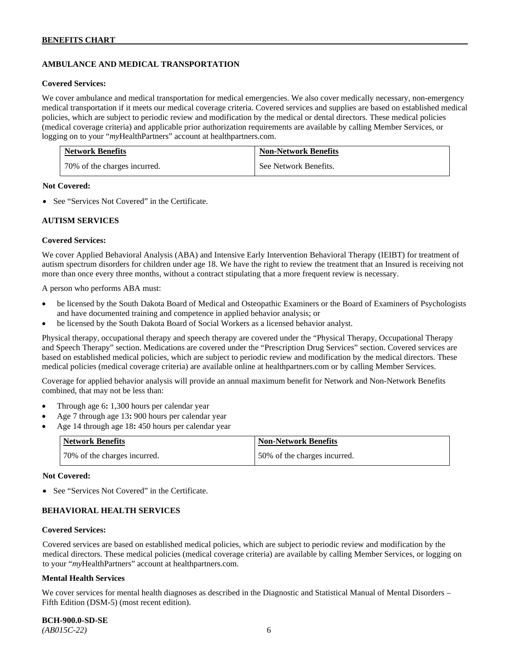# **AMBULANCE AND MEDICAL TRANSPORTATION**

#### **Covered Services:**

We cover ambulance and medical transportation for medical emergencies. We also cover medically necessary, non-emergency medical transportation if it meets our medical coverage criteria. Covered services and supplies are based on established medical policies, which are subject to periodic review and modification by the medical or dental directors. These medical policies (medical coverage criteria) and applicable prior authorization requirements are available by calling Member Services, or logging on to your "*my*HealthPartners" account at [healthpartners.com.](http://healthpartners.com/)

| <b>Network Benefits</b>      | <b>Non-Network Benefits</b> |
|------------------------------|-----------------------------|
| 70% of the charges incurred. | See Network Benefits.       |

#### **Not Covered:**

• See "Services Not Covered" in the Certificate.

#### **AUTISM SERVICES**

#### **Covered Services:**

We cover Applied Behavioral Analysis (ABA) and Intensive Early Intervention Behavioral Therapy (IEIBT) for treatment of autism spectrum disorders for children under age 18. We have the right to review the treatment that an Insured is receiving not more than once every three months, without a contract stipulating that a more frequent review is necessary.

A person who performs ABA must:

- be licensed by the South Dakota Board of Medical and Osteopathic Examiners or the Board of Examiners of Psychologists and have documented training and competence in applied behavior analysis; or
- be licensed by the South Dakota Board of Social Workers as a licensed behavior analyst.

Physical therapy, occupational therapy and speech therapy are covered under the "Physical Therapy, Occupational Therapy and Speech Therapy" section. Medications are covered under the "Prescription Drug Services" section. Covered services are based on established medical policies, which are subject to periodic review and modification by the medical directors. These medical policies (medical coverage criteria) are available online at [healthpartners.com](http://healthpartners.com/) or by calling Member Services.

Coverage for applied behavior analysis will provide an annual maximum benefit for Network and Non-Network Benefits combined, that may not be less than:

- Through age 6**:** 1,300 hours per calendar year
- Age 7 through age 13**:** 900 hours per calendar year
- Age 14 through age 18**:** 450 hours per calendar year

| <b>Network Benefits</b>      | <b>Non-Network Benefits</b>  |
|------------------------------|------------------------------|
| 70% of the charges incurred. | 50% of the charges incurred. |

#### **Not Covered:**

• See "Services Not Covered" in the Certificate.

# **BEHAVIORAL HEALTH SERVICES**

#### **Covered Services:**

Covered services are based on established medical policies, which are subject to periodic review and modification by the medical directors. These medical policies (medical coverage criteria) are available by calling Member Services, or logging on to your "*my*HealthPartners" account at [healthpartners.com.](http://healthpartners.com/)

#### **Mental Health Services**

We cover services for mental health diagnoses as described in the Diagnostic and Statistical Manual of Mental Disorders – Fifth Edition (DSM-5) (most recent edition).

**BCH-900.0-SD-SE**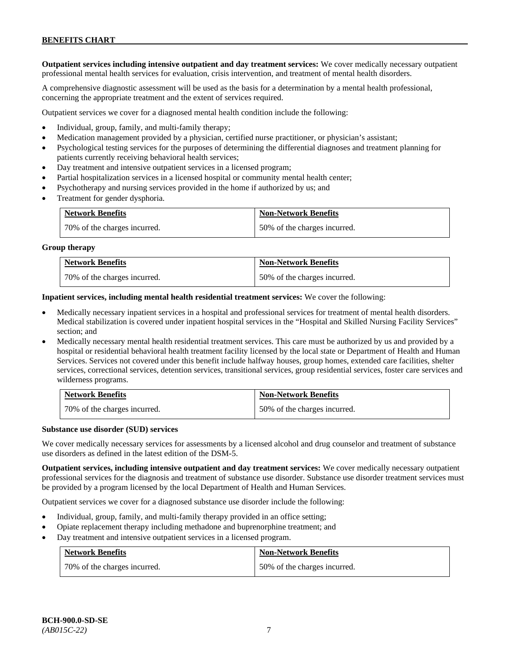**Outpatient services including intensive outpatient and day treatment services:** We cover medically necessary outpatient professional mental health services for evaluation, crisis intervention, and treatment of mental health disorders.

A comprehensive diagnostic assessment will be used as the basis for a determination by a mental health professional, concerning the appropriate treatment and the extent of services required.

Outpatient services we cover for a diagnosed mental health condition include the following:

- Individual, group, family, and multi-family therapy;
- Medication management provided by a physician, certified nurse practitioner, or physician's assistant;
- Psychological testing services for the purposes of determining the differential diagnoses and treatment planning for patients currently receiving behavioral health services;
- Day treatment and intensive outpatient services in a licensed program;
- Partial hospitalization services in a licensed hospital or community mental health center;
- Psychotherapy and nursing services provided in the home if authorized by us; and
- Treatment for gender dysphoria.

| <b>Network Benefits</b>      | <b>Non-Network Benefits</b>  |
|------------------------------|------------------------------|
| 70% of the charges incurred. | 50% of the charges incurred. |

#### **Group therapy**

| <b>Network Benefits</b>      | <b>Non-Network Benefits</b>  |
|------------------------------|------------------------------|
| 70% of the charges incurred. | 50% of the charges incurred. |

**Inpatient services, including mental health residential treatment services:** We cover the following:

- Medically necessary inpatient services in a hospital and professional services for treatment of mental health disorders. Medical stabilization is covered under inpatient hospital services in the "Hospital and Skilled Nursing Facility Services" section; and
- Medically necessary mental health residential treatment services. This care must be authorized by us and provided by a hospital or residential behavioral health treatment facility licensed by the local state or Department of Health and Human Services. Services not covered under this benefit include halfway houses, group homes, extended care facilities, shelter services, correctional services, detention services, transitional services, group residential services, foster care services and wilderness programs.

| <b>Network Benefits</b>      | <b>Non-Network Benefits</b>  |
|------------------------------|------------------------------|
| 70% of the charges incurred. | 50% of the charges incurred. |

#### **Substance use disorder (SUD) services**

We cover medically necessary services for assessments by a licensed alcohol and drug counselor and treatment of substance use disorders as defined in the latest edition of the DSM-5.

**Outpatient services, including intensive outpatient and day treatment services:** We cover medically necessary outpatient professional services for the diagnosis and treatment of substance use disorder. Substance use disorder treatment services must be provided by a program licensed by the local Department of Health and Human Services.

Outpatient services we cover for a diagnosed substance use disorder include the following:

- Individual, group, family, and multi-family therapy provided in an office setting;
- Opiate replacement therapy including methadone and buprenorphine treatment; and
- Day treatment and intensive outpatient services in a licensed program.

| <b>Network Benefits</b>      | <b>Non-Network Benefits</b>  |
|------------------------------|------------------------------|
| 70% of the charges incurred. | 50% of the charges incurred. |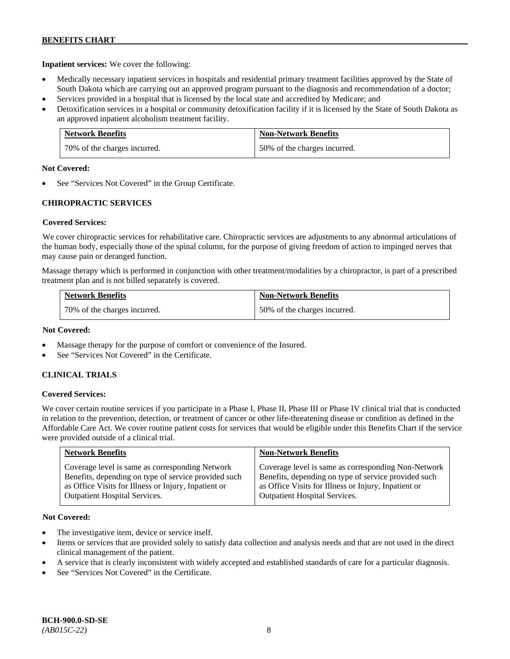**Inpatient services:** We cover the following:

- Medically necessary inpatient services in hospitals and residential primary treatment facilities approved by the State of South Dakota which are carrying out an approved program pursuant to the diagnosis and recommendation of a doctor;
- Services provided in a hospital that is licensed by the local state and accredited by Medicare; and
- Detoxification services in a hospital or community detoxification facility if it is licensed by the State of South Dakota as an approved inpatient alcoholism treatment facility.

| <b>Network Benefits</b>      | <b>Non-Network Benefits</b>  |
|------------------------------|------------------------------|
| 70% of the charges incurred. | 50% of the charges incurred. |

#### **Not Covered:**

See "Services Not Covered" in the Group Certificate.

# **CHIROPRACTIC SERVICES**

# **Covered Services:**

We cover chiropractic services for rehabilitative care. Chiropractic services are adjustments to any abnormal articulations of the human body, especially those of the spinal column, for the purpose of giving freedom of action to impinged nerves that may cause pain or deranged function.

Massage therapy which is performed in conjunction with other treatment/modalities by a chiropractor, is part of a prescribed treatment plan and is not billed separately is covered.

| <b>Network Benefits</b>      | <b>Non-Network Benefits</b>  |
|------------------------------|------------------------------|
| 70% of the charges incurred. | 50% of the charges incurred. |

#### **Not Covered:**

- Massage therapy for the purpose of comfort or convenience of the Insured.
- See "Services Not Covered" in the Certificate.

# **CLINICAL TRIALS**

# **Covered Services:**

We cover certain routine services if you participate in a Phase I, Phase II, Phase III or Phase IV clinical trial that is conducted in relation to the prevention, detection, or treatment of cancer or other life-threatening disease or condition as defined in the Affordable Care Act. We cover routine patient costs for services that would be eligible under this Benefits Chart if the service were provided outside of a clinical trial.

| <b>Network Benefits</b>                              | <b>Non-Network Benefits</b>                          |
|------------------------------------------------------|------------------------------------------------------|
| Coverage level is same as corresponding Network      | Coverage level is same as corresponding Non-Network  |
| Benefits, depending on type of service provided such | Benefits, depending on type of service provided such |
| as Office Visits for Illness or Injury, Inpatient or | as Office Visits for Illness or Injury, Inpatient or |
| <b>Outpatient Hospital Services.</b>                 | <b>Outpatient Hospital Services.</b>                 |

# **Not Covered:**

- The investigative item, device or service itself.
- Items or services that are provided solely to satisfy data collection and analysis needs and that are not used in the direct clinical management of the patient.
- A service that is clearly inconsistent with widely accepted and established standards of care for a particular diagnosis.
- See "Services Not Covered" in the Certificate.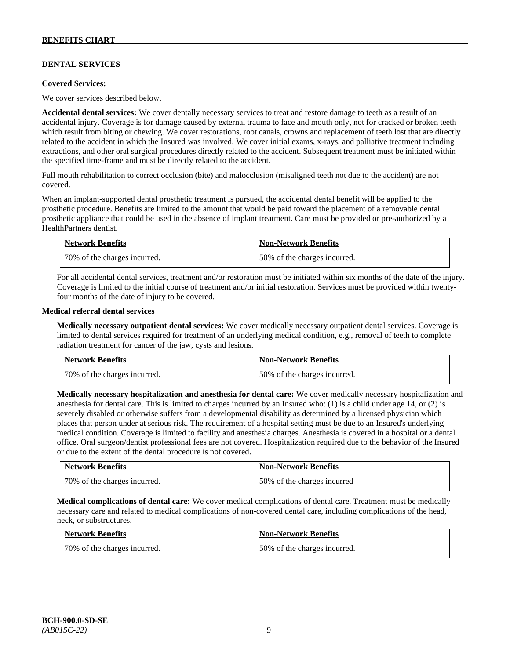# **DENTAL SERVICES**

#### **Covered Services:**

We cover services described below.

**Accidental dental services:** We cover dentally necessary services to treat and restore damage to teeth as a result of an accidental injury. Coverage is for damage caused by external trauma to face and mouth only, not for cracked or broken teeth which result from biting or chewing. We cover restorations, root canals, crowns and replacement of teeth lost that are directly related to the accident in which the Insured was involved. We cover initial exams, x-rays, and palliative treatment including extractions, and other oral surgical procedures directly related to the accident. Subsequent treatment must be initiated within the specified time-frame and must be directly related to the accident.

Full mouth rehabilitation to correct occlusion (bite) and malocclusion (misaligned teeth not due to the accident) are not covered.

When an implant-supported dental prosthetic treatment is pursued, the accidental dental benefit will be applied to the prosthetic procedure. Benefits are limited to the amount that would be paid toward the placement of a removable dental prosthetic appliance that could be used in the absence of implant treatment. Care must be provided or pre-authorized by a HealthPartners dentist.

| <b>Network Benefits</b>      | <b>Non-Network Benefits</b>  |
|------------------------------|------------------------------|
| 70% of the charges incurred. | 50% of the charges incurred. |

For all accidental dental services, treatment and/or restoration must be initiated within six months of the date of the injury. Coverage is limited to the initial course of treatment and/or initial restoration. Services must be provided within twentyfour months of the date of injury to be covered.

#### **Medical referral dental services**

**Medically necessary outpatient dental services:** We cover medically necessary outpatient dental services. Coverage is limited to dental services required for treatment of an underlying medical condition, e.g., removal of teeth to complete radiation treatment for cancer of the jaw, cysts and lesions.

| <b>Network Benefits</b>      | <b>Non-Network Benefits</b>  |
|------------------------------|------------------------------|
| 70% of the charges incurred. | 50% of the charges incurred. |

**Medically necessary hospitalization and anesthesia for dental care:** We cover medically necessary hospitalization and anesthesia for dental care. This is limited to charges incurred by an Insured who: (1) is a child under age 14, or (2) is severely disabled or otherwise suffers from a developmental disability as determined by a licensed physician which places that person under at serious risk. The requirement of a hospital setting must be due to an Insured's underlying medical condition. Coverage is limited to facility and anesthesia charges. Anesthesia is covered in a hospital or a dental office. Oral surgeon/dentist professional fees are not covered. Hospitalization required due to the behavior of the Insured or due to the extent of the dental procedure is not covered.

| <b>Network Benefits</b>      | <b>Non-Network Benefits</b> |
|------------------------------|-----------------------------|
| 70% of the charges incurred. | 50% of the charges incurred |

**Medical complications of dental care:** We cover medical complications of dental care. Treatment must be medically necessary care and related to medical complications of non-covered dental care, including complications of the head, neck, or substructures.

| <b>Network Benefits</b>      | <b>Non-Network Benefits</b>  |
|------------------------------|------------------------------|
| 70% of the charges incurred. | 50% of the charges incurred. |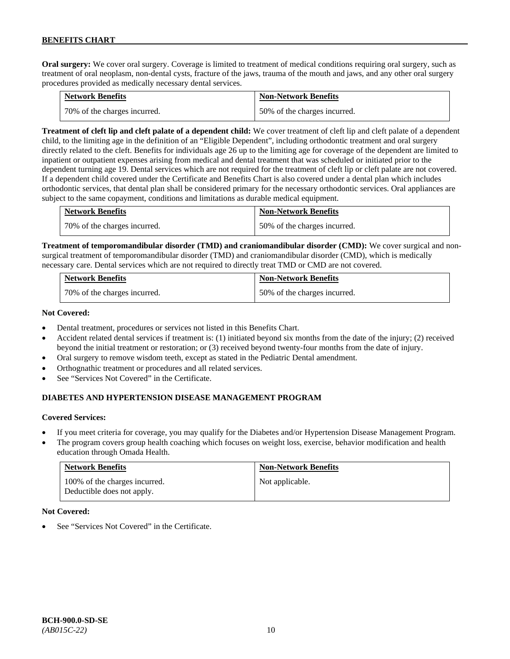**Oral surgery:** We cover oral surgery. Coverage is limited to treatment of medical conditions requiring oral surgery, such as treatment of oral neoplasm, non-dental cysts, fracture of the jaws, trauma of the mouth and jaws, and any other oral surgery procedures provided as medically necessary dental services.

| <b>Network Benefits</b>      | <b>Non-Network Benefits</b>  |
|------------------------------|------------------------------|
| 70% of the charges incurred. | 50% of the charges incurred. |

**Treatment of cleft lip and cleft palate of a dependent child:** We cover treatment of cleft lip and cleft palate of a dependent child, to the limiting age in the definition of an "Eligible Dependent", including orthodontic treatment and oral surgery directly related to the cleft. Benefits for individuals age 26 up to the limiting age for coverage of the dependent are limited to inpatient or outpatient expenses arising from medical and dental treatment that was scheduled or initiated prior to the dependent turning age 19. Dental services which are not required for the treatment of cleft lip or cleft palate are not covered. If a dependent child covered under the Certificate and Benefits Chart is also covered under a dental plan which includes orthodontic services, that dental plan shall be considered primary for the necessary orthodontic services. Oral appliances are subject to the same copayment, conditions and limitations as durable medical equipment.

| <b>Network Benefits</b>      | <b>Non-Network Benefits</b>  |
|------------------------------|------------------------------|
| 70% of the charges incurred. | 50% of the charges incurred. |

**Treatment of temporomandibular disorder (TMD) and craniomandibular disorder (CMD):** We cover surgical and nonsurgical treatment of temporomandibular disorder (TMD) and craniomandibular disorder (CMD), which is medically necessary care. Dental services which are not required to directly treat TMD or CMD are not covered.

| <b>Network Benefits</b>      | <b>Non-Network Benefits</b>  |
|------------------------------|------------------------------|
| 70% of the charges incurred. | 50% of the charges incurred. |

# **Not Covered:**

- Dental treatment, procedures or services not listed in this Benefits Chart.
- Accident related dental services if treatment is: (1) initiated beyond six months from the date of the injury; (2) received beyond the initial treatment or restoration; or (3) received beyond twenty-four months from the date of injury.
- Oral surgery to remove wisdom teeth, except as stated in the Pediatric Dental amendment.
- Orthognathic treatment or procedures and all related services.
- See "Services Not Covered" in the Certificate.

# **DIABETES AND HYPERTENSION DISEASE MANAGEMENT PROGRAM**

# **Covered Services:**

- If you meet criteria for coverage, you may qualify for the Diabetes and/or Hypertension Disease Management Program.
- The program covers group health coaching which focuses on weight loss, exercise, behavior modification and health education through Omada Health.

| <b>Network Benefits</b>                                     | <b>Non-Network Benefits</b> |
|-------------------------------------------------------------|-----------------------------|
| 100% of the charges incurred.<br>Deductible does not apply. | Not applicable.             |

#### **Not Covered:**

See "Services Not Covered" in the Certificate.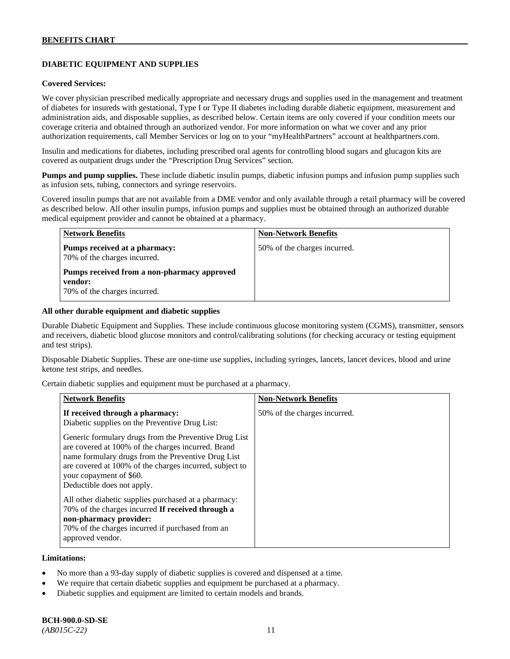# **DIABETIC EQUIPMENT AND SUPPLIES**

#### **Covered Services:**

We cover physician prescribed medically appropriate and necessary drugs and supplies used in the management and treatment of diabetes for insureds with gestational, Type I or Type II diabetes including durable diabetic equipment, measurement and administration aids, and disposable supplies, as described below. Certain items are only covered if your condition meets our coverage criteria and obtained through an authorized vendor. For more information on what we cover and any prior authorization requirements, call Member Services or log on to your "myHealthPartners" account at [healthpartners.com.](http://www.healthpartners.com/)

Insulin and medications for diabetes, including prescribed oral agents for controlling blood sugars and glucagon kits are covered as outpatient drugs under the "Prescription Drug Services" section.

**Pumps and pump supplies.** These include diabetic insulin pumps, diabetic infusion pumps and infusion pump supplies such as infusion sets, tubing, connectors and syringe reservoirs.

Covered insulin pumps that are not available from a DME vendor and only available through a retail pharmacy will be covered as described below. All other insulin pumps, infusion pumps and supplies must be obtained through an authorized durable medical equipment provider and cannot be obtained at a pharmacy.

| <b>Network Benefits</b>                                                                | <b>Non-Network Benefits</b>  |
|----------------------------------------------------------------------------------------|------------------------------|
| Pumps received at a pharmacy:<br>70% of the charges incurred.                          | 50% of the charges incurred. |
| Pumps received from a non-pharmacy approved<br>vendor:<br>70% of the charges incurred. |                              |

#### **All other durable equipment and diabetic supplies**

Durable Diabetic Equipment and Supplies. These include continuous glucose monitoring system (CGMS), transmitter, sensors and receivers, diabetic blood glucose monitors and control/calibrating solutions (for checking accuracy or testing equipment and test strips).

Disposable Diabetic Supplies. These are one-time use supplies, including syringes, lancets, lancet devices, blood and urine ketone test strips, and needles.

Certain diabetic supplies and equipment must be purchased at a pharmacy.

| <b>Network Benefits</b>                                                                                                                                                                                                                                                               | <b>Non-Network Benefits</b>  |
|---------------------------------------------------------------------------------------------------------------------------------------------------------------------------------------------------------------------------------------------------------------------------------------|------------------------------|
| If received through a pharmacy:<br>Diabetic supplies on the Preventive Drug List:                                                                                                                                                                                                     | 50% of the charges incurred. |
| Generic formulary drugs from the Preventive Drug List<br>are covered at 100% of the charges incurred. Brand<br>name formulary drugs from the Preventive Drug List<br>are covered at 100% of the charges incurred, subject to<br>your copayment of \$60.<br>Deductible does not apply. |                              |
| All other diabetic supplies purchased at a pharmacy:<br>70% of the charges incurred If received through a<br>non-pharmacy provider:<br>70% of the charges incurred if purchased from an<br>approved vendor.                                                                           |                              |

#### **Limitations:**

- No more than a 93-day supply of diabetic supplies is covered and dispensed at a time.
- We require that certain diabetic supplies and equipment be purchased at a pharmacy.
- Diabetic supplies and equipment are limited to certain models and brands.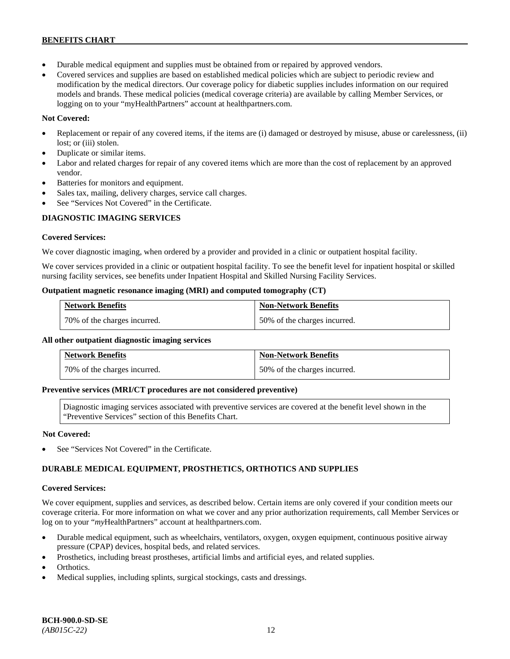- Durable medical equipment and supplies must be obtained from or repaired by approved vendors.
- Covered services and supplies are based on established medical policies which are subject to periodic review and modification by the medical directors. Our coverage policy for diabetic supplies includes information on our required models and brands. These medical policies (medical coverage criteria) are available by calling Member Services, or logging on to your "myHealthPartners" account at [healthpartners.com.](http://www.healthpartners.com/)

# **Not Covered:**

- Replacement or repair of any covered items, if the items are (i) damaged or destroyed by misuse, abuse or carelessness, (ii) lost; or (iii) stolen.
- Duplicate or similar items.
- Labor and related charges for repair of any covered items which are more than the cost of replacement by an approved vendor.
- Batteries for monitors and equipment.
- Sales tax, mailing, delivery charges, service call charges.
- See "Services Not Covered" in the Certificate.

# **DIAGNOSTIC IMAGING SERVICES**

# **Covered Services:**

We cover diagnostic imaging, when ordered by a provider and provided in a clinic or outpatient hospital facility.

We cover services provided in a clinic or outpatient hospital facility. To see the benefit level for inpatient hospital or skilled nursing facility services, see benefits under Inpatient Hospital and Skilled Nursing Facility Services.

# **Outpatient magnetic resonance imaging (MRI) and computed tomography (CT)**

| <b>Network Benefits</b>        | <b>Non-Network Benefits</b>  |
|--------------------------------|------------------------------|
| 1 70% of the charges incurred. | 50% of the charges incurred. |

# **All other outpatient diagnostic imaging services**

| <b>Network Benefits</b>      | <b>Non-Network Benefits</b>  |
|------------------------------|------------------------------|
| 70% of the charges incurred. | 50% of the charges incurred. |

# **Preventive services (MRI/CT procedures are not considered preventive)**

Diagnostic imaging services associated with preventive services are covered at the benefit level shown in the "Preventive Services" section of this Benefits Chart.

# **Not Covered:**

See "Services Not Covered" in the Certificate.

# **DURABLE MEDICAL EQUIPMENT, PROSTHETICS, ORTHOTICS AND SUPPLIES**

# **Covered Services:**

We cover equipment, supplies and services, as described below. Certain items are only covered if your condition meets our coverage criteria. For more information on what we cover and any prior authorization requirements, call Member Services or log on to your "myHealthPartners" account at [healthpartners.com.](http://healthpartners.com/)

- Durable medical equipment, such as wheelchairs, ventilators, oxygen, oxygen equipment, continuous positive airway pressure (CPAP) devices, hospital beds, and related services.
- Prosthetics, including breast prostheses, artificial limbs and artificial eyes, and related supplies.
- Orthotics.
- Medical supplies, including splints, surgical stockings, casts and dressings.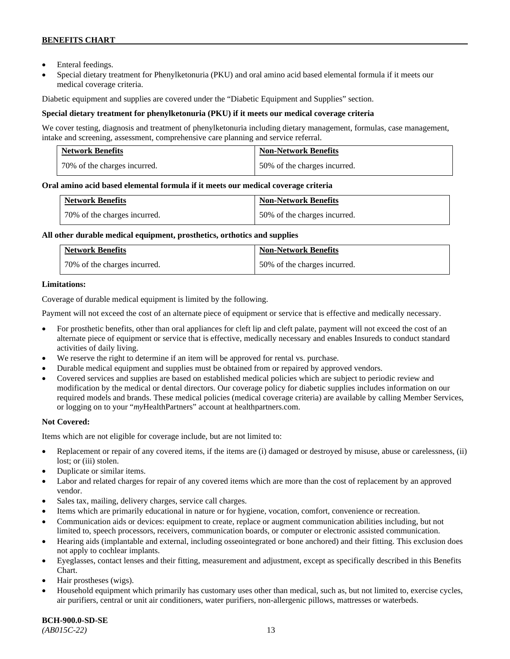- Enteral feedings.
- Special dietary treatment for Phenylketonuria (PKU) and oral amino acid based elemental formula if it meets our medical coverage criteria.

Diabetic equipment and supplies are covered under the "Diabetic Equipment and Supplies" section.

# **Special dietary treatment for phenylketonuria (PKU) if it meets our medical coverage criteria**

We cover testing, diagnosis and treatment of phenylketonuria including dietary management, formulas, case management, intake and screening, assessment, comprehensive care planning and service referral.

| <b>Network Benefits</b>      | <b>Non-Network Benefits</b>  |
|------------------------------|------------------------------|
| 70% of the charges incurred. | 50% of the charges incurred. |

# **Oral amino acid based elemental formula if it meets our medical coverage criteria**

| <b>Network Benefits</b>      | <b>Non-Network Benefits</b>  |
|------------------------------|------------------------------|
| 70% of the charges incurred. | 50% of the charges incurred. |

#### **All other durable medical equipment, prosthetics, orthotics and supplies**

| <b>Network Benefits</b>      | <b>Non-Network Benefits</b>  |
|------------------------------|------------------------------|
| 70% of the charges incurred. | 50% of the charges incurred. |

# **Limitations:**

Coverage of durable medical equipment is limited by the following.

Payment will not exceed the cost of an alternate piece of equipment or service that is effective and medically necessary.

- For prosthetic benefits, other than oral appliances for cleft lip and cleft palate, payment will not exceed the cost of an alternate piece of equipment or service that is effective, medically necessary and enables Insureds to conduct standard activities of daily living.
- We reserve the right to determine if an item will be approved for rental vs. purchase.
- Durable medical equipment and supplies must be obtained from or repaired by approved vendors.
- Covered services and supplies are based on established medical policies which are subject to periodic review and modification by the medical or dental directors. Our coverage policy for diabetic supplies includes information on our required models and brands. These medical policies (medical coverage criteria) are available by calling Member Services, or logging on to your "*my*HealthPartners" account at [healthpartners.com.](http://www.healthpartners.com/)

# **Not Covered:**

Items which are not eligible for coverage include, but are not limited to:

- Replacement or repair of any covered items, if the items are (i) damaged or destroyed by misuse, abuse or carelessness, (ii) lost; or (iii) stolen.
- Duplicate or similar items.
- Labor and related charges for repair of any covered items which are more than the cost of replacement by an approved vendor.
- Sales tax, mailing, delivery charges, service call charges.
- Items which are primarily educational in nature or for hygiene, vocation, comfort, convenience or recreation.
- Communication aids or devices: equipment to create, replace or augment communication abilities including, but not limited to, speech processors, receivers, communication boards, or computer or electronic assisted communication.
- Hearing aids (implantable and external, including osseointegrated or bone anchored) and their fitting. This exclusion does not apply to cochlear implants.
- Eyeglasses, contact lenses and their fitting, measurement and adjustment, except as specifically described in this Benefits Chart.
- Hair prostheses (wigs).
- Household equipment which primarily has customary uses other than medical, such as, but not limited to, exercise cycles, air purifiers, central or unit air conditioners, water purifiers, non-allergenic pillows, mattresses or waterbeds.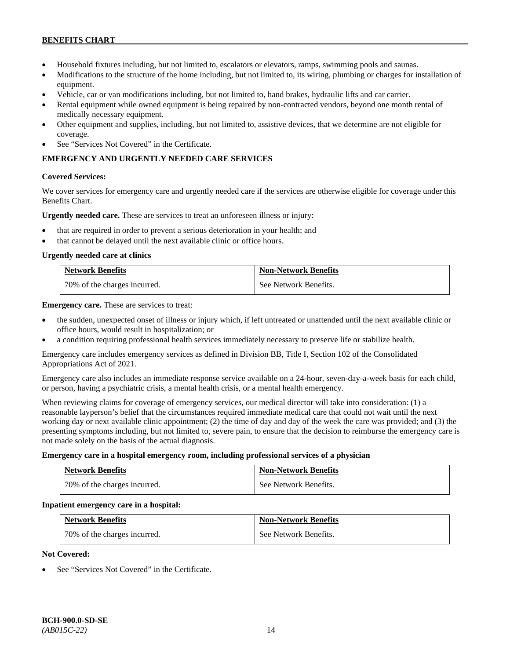- Household fixtures including, but not limited to, escalators or elevators, ramps, swimming pools and saunas.
- Modifications to the structure of the home including, but not limited to, its wiring, plumbing or charges for installation of equipment.
- Vehicle, car or van modifications including, but not limited to, hand brakes, hydraulic lifts and car carrier.
- Rental equipment while owned equipment is being repaired by non-contracted vendors, beyond one month rental of medically necessary equipment.
- Other equipment and supplies, including, but not limited to, assistive devices, that we determine are not eligible for coverage.
- See "Services Not Covered" in the Certificate.

# **EMERGENCY AND URGENTLY NEEDED CARE SERVICES**

#### **Covered Services:**

We cover services for emergency care and urgently needed care if the services are otherwise eligible for coverage under this Benefits Chart.

**Urgently needed care.** These are services to treat an unforeseen illness or injury:

- that are required in order to prevent a serious deterioration in your health; and
- that cannot be delayed until the next available clinic or office hours.

#### **Urgently needed care at clinics**

| <b>Network Benefits</b>      | <b>Non-Network Benefits</b> |
|------------------------------|-----------------------------|
| 70% of the charges incurred. | See Network Benefits.       |

**Emergency care.** These are services to treat:

- the sudden, unexpected onset of illness or injury which, if left untreated or unattended until the next available clinic or office hours, would result in hospitalization; or
- a condition requiring professional health services immediately necessary to preserve life or stabilize health.

Emergency care includes emergency services as defined in Division BB, Title I, Section 102 of the Consolidated Appropriations Act of 2021.

Emergency care also includes an immediate response service available on a 24-hour, seven-day-a-week basis for each child, or person, having a psychiatric crisis, a mental health crisis, or a mental health emergency.

When reviewing claims for coverage of emergency services, our medical director will take into consideration: (1) a reasonable layperson's belief that the circumstances required immediate medical care that could not wait until the next working day or next available clinic appointment; (2) the time of day and day of the week the care was provided; and (3) the presenting symptoms including, but not limited to, severe pain, to ensure that the decision to reimburse the emergency care is not made solely on the basis of the actual diagnosis.

#### **Emergency care in a hospital emergency room, including professional services of a physician**

| <b>Network Benefits</b>      | <b>Non-Network Benefits</b> |
|------------------------------|-----------------------------|
| 70% of the charges incurred. | See Network Benefits.       |

#### **Inpatient emergency care in a hospital:**

| <b>Network Benefits</b>      | <b>Non-Network Benefits</b> |
|------------------------------|-----------------------------|
| 70% of the charges incurred. | See Network Benefits.       |

# **Not Covered:**

See "Services Not Covered" in the Certificate.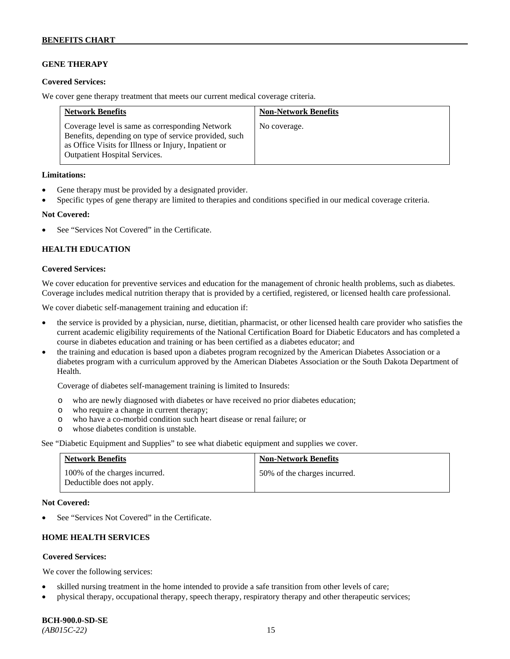# **GENE THERAPY**

#### **Covered Services:**

We cover gene therapy treatment that meets our current medical coverage criteria.

| <b>Network Benefits</b>                                                                                                                                                                                  | <b>Non-Network Benefits</b> |
|----------------------------------------------------------------------------------------------------------------------------------------------------------------------------------------------------------|-----------------------------|
| Coverage level is same as corresponding Network<br>Benefits, depending on type of service provided, such<br>as Office Visits for Illness or Injury, Inpatient or<br><b>Outpatient Hospital Services.</b> | No coverage.                |

#### **Limitations:**

- Gene therapy must be provided by a designated provider.
- Specific types of gene therapy are limited to therapies and conditions specified in our medical coverage criteria.

#### **Not Covered:**

See "Services Not Covered" in the Certificate.

# **HEALTH EDUCATION**

#### **Covered Services:**

We cover education for preventive services and education for the management of chronic health problems, such as diabetes. Coverage includes medical nutrition therapy that is provided by a certified, registered, or licensed health care professional.

We cover diabetic self-management training and education if:

- the service is provided by a physician, nurse, dietitian, pharmacist, or other licensed health care provider who satisfies the current academic eligibility requirements of the National Certification Board for Diabetic Educators and has completed a course in diabetes education and training or has been certified as a diabetes educator; and
- the training and education is based upon a diabetes program recognized by the American Diabetes Association or a diabetes program with a curriculum approved by the American Diabetes Association or the South Dakota Department of Health.

Coverage of diabetes self-management training is limited to Insureds:

- o who are newly diagnosed with diabetes or have received no prior diabetes education;
- o who require a change in current therapy;<br>o who have a co-morbid condition such heal
- who have a co-morbid condition such heart disease or renal failure; or
- o whose diabetes condition is unstable.

See "Diabetic Equipment and Supplies" to see what diabetic equipment and supplies we cover.

| <b>Network Benefits</b>                                     | <b>Non-Network Benefits</b>  |
|-------------------------------------------------------------|------------------------------|
| 100% of the charges incurred.<br>Deductible does not apply. | 50% of the charges incurred. |

#### **Not Covered:**

See "Services Not Covered" in the Certificate.

# **HOME HEALTH SERVICES**

# **Covered Services:**

We cover the following services:

- skilled nursing treatment in the home intended to provide a safe transition from other levels of care;
- physical therapy, occupational therapy, speech therapy, respiratory therapy and other therapeutic services;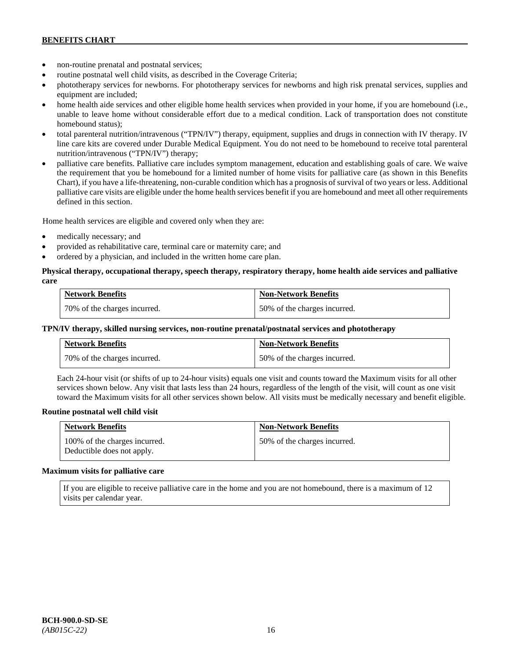- non-routine prenatal and postnatal services;
- routine postnatal well child visits, as described in the Coverage Criteria;
- phototherapy services for newborns. For phototherapy services for newborns and high risk prenatal services, supplies and equipment are included;
- home health aide services and other eligible home health services when provided in your home, if you are homebound (i.e., unable to leave home without considerable effort due to a medical condition. Lack of transportation does not constitute homebound status);
- total parenteral nutrition/intravenous ("TPN/IV") therapy, equipment, supplies and drugs in connection with IV therapy. IV line care kits are covered under Durable Medical Equipment. You do not need to be homebound to receive total parenteral nutrition/intravenous ("TPN/IV") therapy;
- palliative care benefits. Palliative care includes symptom management, education and establishing goals of care. We waive the requirement that you be homebound for a limited number of home visits for palliative care (as shown in this Benefits Chart), if you have a life-threatening, non-curable condition which has a prognosis of survival of two years or less. Additional palliative care visits are eligible under the home health services benefit if you are homebound and meet all other requirements defined in this section.

Home health services are eligible and covered only when they are:

- medically necessary; and
- provided as rehabilitative care, terminal care or maternity care; and
- ordered by a physician, and included in the written home care plan.

#### **Physical therapy, occupational therapy, speech therapy, respiratory therapy, home health aide services and palliative care**

| <b>Network Benefits</b>      | <b>Non-Network Benefits</b>  |
|------------------------------|------------------------------|
| 70% of the charges incurred. | 50% of the charges incurred. |

#### **TPN/IV therapy, skilled nursing services, non-routine prenatal/postnatal services and phototherapy**

| <b>Network Benefits</b>        | <b>Non-Network Benefits</b>  |
|--------------------------------|------------------------------|
| 1 70% of the charges incurred. | 50% of the charges incurred. |

Each 24-hour visit (or shifts of up to 24-hour visits) equals one visit and counts toward the Maximum visits for all other services shown below. Any visit that lasts less than 24 hours, regardless of the length of the visit, will count as one visit toward the Maximum visits for all other services shown below. All visits must be medically necessary and benefit eligible.

#### **Routine postnatal well child visit**

| <b>Network Benefits</b>                                     | <b>Non-Network Benefits</b>  |
|-------------------------------------------------------------|------------------------------|
| 100% of the charges incurred.<br>Deductible does not apply. | 50% of the charges incurred. |

#### **Maximum visits for palliative care**

If you are eligible to receive palliative care in the home and you are not homebound, there is a maximum of 12 visits per calendar year.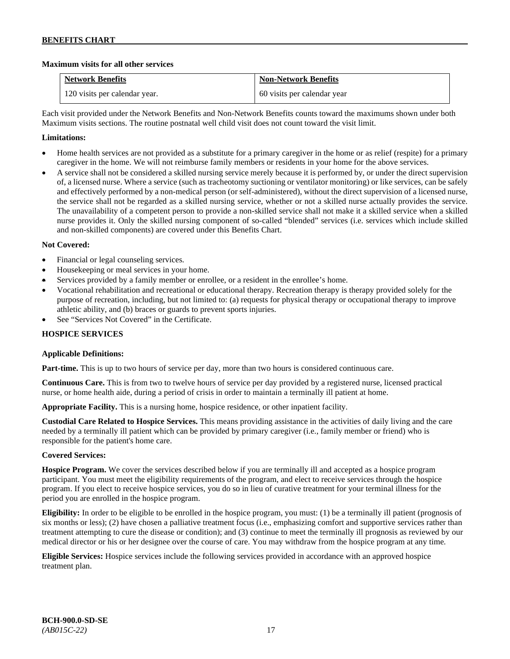# **Maximum visits for all other services**

| <b>Network Benefits</b>       | <b>Non-Network Benefits</b> |
|-------------------------------|-----------------------------|
| 120 visits per calendar year. | 60 visits per calendar year |

Each visit provided under the Network Benefits and Non-Network Benefits counts toward the maximums shown under both Maximum visits sections. The routine postnatal well child visit does not count toward the visit limit.

# **Limitations:**

- Home health services are not provided as a substitute for a primary caregiver in the home or as relief (respite) for a primary caregiver in the home. We will not reimburse family members or residents in your home for the above services.
- A service shall not be considered a skilled nursing service merely because it is performed by, or under the direct supervision of, a licensed nurse. Where a service (such as tracheotomy suctioning or ventilator monitoring) or like services, can be safely and effectively performed by a non-medical person (or self-administered), without the direct supervision of a licensed nurse, the service shall not be regarded as a skilled nursing service, whether or not a skilled nurse actually provides the service. The unavailability of a competent person to provide a non-skilled service shall not make it a skilled service when a skilled nurse provides it. Only the skilled nursing component of so-called "blended" services (i.e. services which include skilled and non-skilled components) are covered under this Benefits Chart.

# **Not Covered:**

- Financial or legal counseling services.
- Housekeeping or meal services in your home.
- Services provided by a family member or enrollee, or a resident in the enrollee's home.
- Vocational rehabilitation and recreational or educational therapy. Recreation therapy is therapy provided solely for the purpose of recreation, including, but not limited to: (a) requests for physical therapy or occupational therapy to improve athletic ability, and (b) braces or guards to prevent sports injuries.
- See "Services Not Covered" in the Certificate.

# **HOSPICE SERVICES**

# **Applicable Definitions:**

**Part-time.** This is up to two hours of service per day, more than two hours is considered continuous care.

**Continuous Care.** This is from two to twelve hours of service per day provided by a registered nurse, licensed practical nurse, or home health aide, during a period of crisis in order to maintain a terminally ill patient at home.

**Appropriate Facility.** This is a nursing home, hospice residence, or other inpatient facility.

**Custodial Care Related to Hospice Services.** This means providing assistance in the activities of daily living and the care needed by a terminally ill patient which can be provided by primary caregiver (i.e., family member or friend) who is responsible for the patient's home care.

# **Covered Services:**

**Hospice Program.** We cover the services described below if you are terminally ill and accepted as a hospice program participant. You must meet the eligibility requirements of the program, and elect to receive services through the hospice program. If you elect to receive hospice services, you do so in lieu of curative treatment for your terminal illness for the period you are enrolled in the hospice program.

**Eligibility:** In order to be eligible to be enrolled in the hospice program, you must: (1) be a terminally ill patient (prognosis of six months or less); (2) have chosen a palliative treatment focus (i.e., emphasizing comfort and supportive services rather than treatment attempting to cure the disease or condition); and (3) continue to meet the terminally ill prognosis as reviewed by our medical director or his or her designee over the course of care. You may withdraw from the hospice program at any time.

**Eligible Services:** Hospice services include the following services provided in accordance with an approved hospice treatment plan.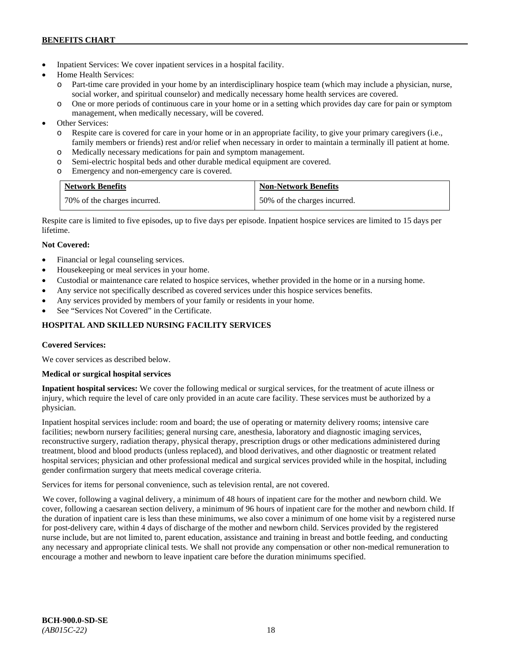- Inpatient Services: We cover inpatient services in a hospital facility.
- Home Health Services:
	- o Part-time care provided in your home by an interdisciplinary hospice team (which may include a physician, nurse, social worker, and spiritual counselor) and medically necessary home health services are covered.
	- o One or more periods of continuous care in your home or in a setting which provides day care for pain or symptom management, when medically necessary, will be covered.
- Other Services:
	- o Respite care is covered for care in your home or in an appropriate facility, to give your primary caregivers (i.e., family members or friends) rest and/or relief when necessary in order to maintain a terminally ill patient at home*.*
	- o Medically necessary medications for pain and symptom management.
	- o Semi-electric hospital beds and other durable medical equipment are covered.
	- o Emergency and non-emergency care is covered.

| <b>Network Benefits</b>      | <b>Non-Network Benefits</b>  |
|------------------------------|------------------------------|
| 70% of the charges incurred. | 50% of the charges incurred. |

Respite care is limited to five episodes, up to five days per episode. Inpatient hospice services are limited to 15 days per lifetime.

# **Not Covered:**

- Financial or legal counseling services.
- Housekeeping or meal services in your home.
- Custodial or maintenance care related to hospice services, whether provided in the home or in a nursing home.
- Any service not specifically described as covered services under this hospice services benefits.
- Any services provided by members of your family or residents in your home.
- See "Services Not Covered" in the Certificate.

# **HOSPITAL AND SKILLED NURSING FACILITY SERVICES**

# **Covered Services:**

We cover services as described below.

# **Medical or surgical hospital services**

**Inpatient hospital services:** We cover the following medical or surgical services, for the treatment of acute illness or injury, which require the level of care only provided in an acute care facility. These services must be authorized by a physician.

Inpatient hospital services include: room and board; the use of operating or maternity delivery rooms; intensive care facilities; newborn nursery facilities; general nursing care, anesthesia, laboratory and diagnostic imaging services, reconstructive surgery, radiation therapy, physical therapy, prescription drugs or other medications administered during treatment, blood and blood products (unless replaced), and blood derivatives, and other diagnostic or treatment related hospital services; physician and other professional medical and surgical services provided while in the hospital, including gender confirmation surgery that meets medical coverage criteria.

Services for items for personal convenience, such as television rental, are not covered.

We cover, following a vaginal delivery, a minimum of 48 hours of inpatient care for the mother and newborn child. We cover, following a caesarean section delivery, a minimum of 96 hours of inpatient care for the mother and newborn child. If the duration of inpatient care is less than these minimums, we also cover a minimum of one home visit by a registered nurse for post-delivery care, within 4 days of discharge of the mother and newborn child. Services provided by the registered nurse include, but are not limited to, parent education, assistance and training in breast and bottle feeding, and conducting any necessary and appropriate clinical tests. We shall not provide any compensation or other non-medical remuneration to encourage a mother and newborn to leave inpatient care before the duration minimums specified.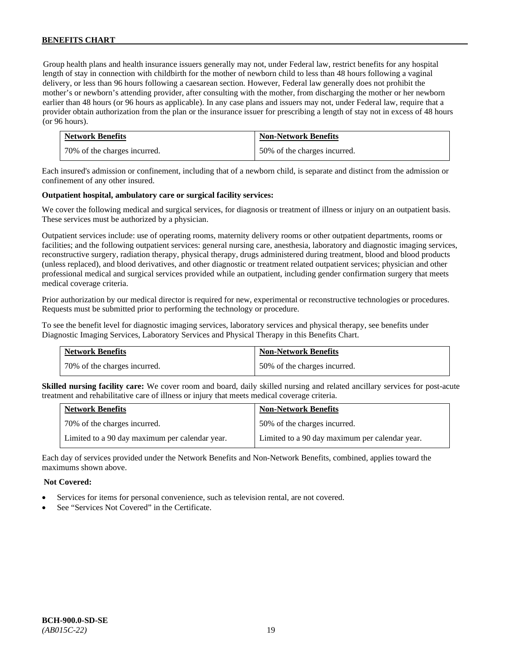Group health plans and health insurance issuers generally may not, under Federal law, restrict benefits for any hospital length of stay in connection with childbirth for the mother of newborn child to less than 48 hours following a vaginal delivery, or less than 96 hours following a caesarean section. However, Federal law generally does not prohibit the mother's or newborn's attending provider, after consulting with the mother, from discharging the mother or her newborn earlier than 48 hours (or 96 hours as applicable). In any case plans and issuers may not, under Federal law, require that a provider obtain authorization from the plan or the insurance issuer for prescribing a length of stay not in excess of 48 hours (or 96 hours).

| <b>Network Benefits</b>      | <b>Non-Network Benefits</b>  |
|------------------------------|------------------------------|
| 70% of the charges incurred. | 50% of the charges incurred. |

Each insured's admission or confinement, including that of a newborn child, is separate and distinct from the admission or confinement of any other insured.

#### **Outpatient hospital, ambulatory care or surgical facility services:**

We cover the following medical and surgical services, for diagnosis or treatment of illness or injury on an outpatient basis. These services must be authorized by a physician.

Outpatient services include: use of operating rooms, maternity delivery rooms or other outpatient departments, rooms or facilities; and the following outpatient services: general nursing care, anesthesia, laboratory and diagnostic imaging services, reconstructive surgery, radiation therapy, physical therapy, drugs administered during treatment, blood and blood products (unless replaced), and blood derivatives, and other diagnostic or treatment related outpatient services; physician and other professional medical and surgical services provided while an outpatient, including gender confirmation surgery that meets medical coverage criteria.

Prior authorization by our medical director is required for new, experimental or reconstructive technologies or procedures. Requests must be submitted prior to performing the technology or procedure.

To see the benefit level for diagnostic imaging services, laboratory services and physical therapy, see benefits under Diagnostic Imaging Services, Laboratory Services and Physical Therapy in this Benefits Chart.

| <b>Network Benefits</b>        | <b>Non-Network Benefits</b>  |
|--------------------------------|------------------------------|
| 1 70% of the charges incurred. | 50% of the charges incurred. |

**Skilled nursing facility care:** We cover room and board, daily skilled nursing and related ancillary services for post-acute treatment and rehabilitative care of illness or injury that meets medical coverage criteria.

| <b>Network Benefits</b>                        | <b>Non-Network Benefits</b>                    |
|------------------------------------------------|------------------------------------------------|
| 70% of the charges incurred.                   | 50% of the charges incurred.                   |
| Limited to a 90 day maximum per calendar year. | Limited to a 90 day maximum per calendar year. |

Each day of services provided under the Network Benefits and Non-Network Benefits, combined, applies toward the maximums shown above.

#### **Not Covered:**

- Services for items for personal convenience, such as television rental, are not covered.
- See "Services Not Covered" in the Certificate.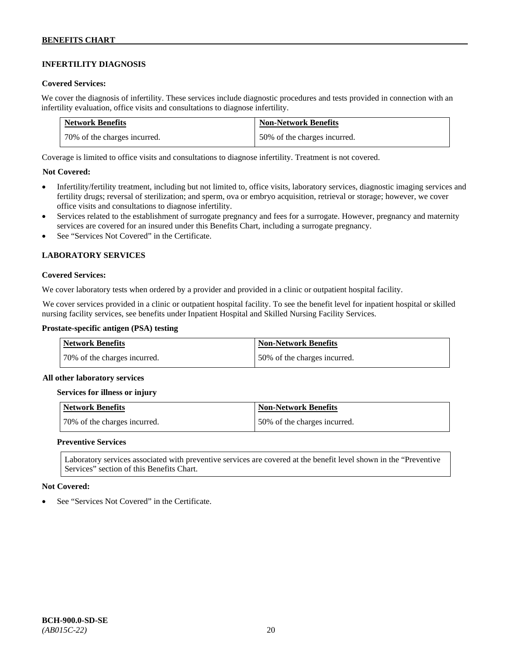# **INFERTILITY DIAGNOSIS**

#### **Covered Services:**

We cover the diagnosis of infertility. These services include diagnostic procedures and tests provided in connection with an infertility evaluation, office visits and consultations to diagnose infertility.

| <b>Network Benefits</b>      | <b>Non-Network Benefits</b>  |
|------------------------------|------------------------------|
| 70% of the charges incurred. | 50% of the charges incurred. |

Coverage is limited to office visits and consultations to diagnose infertility. Treatment is not covered.

# **Not Covered:**

- Infertility/fertility treatment, including but not limited to, office visits, laboratory services, diagnostic imaging services and fertility drugs; reversal of sterilization; and sperm, ova or embryo acquisition, retrieval or storage; however, we cover office visits and consultations to diagnose infertility.
- Services related to the establishment of surrogate pregnancy and fees for a surrogate. However, pregnancy and maternity services are covered for an insured under this Benefits Chart, including a surrogate pregnancy.
- See "Services Not Covered" in the Certificate.

# **LABORATORY SERVICES**

#### **Covered Services:**

We cover laboratory tests when ordered by a provider and provided in a clinic or outpatient hospital facility.

We cover services provided in a clinic or outpatient hospital facility. To see the benefit level for inpatient hospital or skilled nursing facility services, see benefits under Inpatient Hospital and Skilled Nursing Facility Services.

#### **Prostate-specific antigen (PSA) testing**

| <b>Network Benefits</b>      | <b>Non-Network Benefits</b>  |
|------------------------------|------------------------------|
| 70% of the charges incurred. | 50% of the charges incurred. |

#### **All other laboratory services**

#### **Services for illness or injury**

| Network Benefits             | Non-Network Benefits         |
|------------------------------|------------------------------|
| 70% of the charges incurred. | 50% of the charges incurred. |

#### **Preventive Services**

Laboratory services associated with preventive services are covered at the benefit level shown in the "Preventive Services" section of this Benefits Chart.

#### **Not Covered:**

See "Services Not Covered" in the Certificate.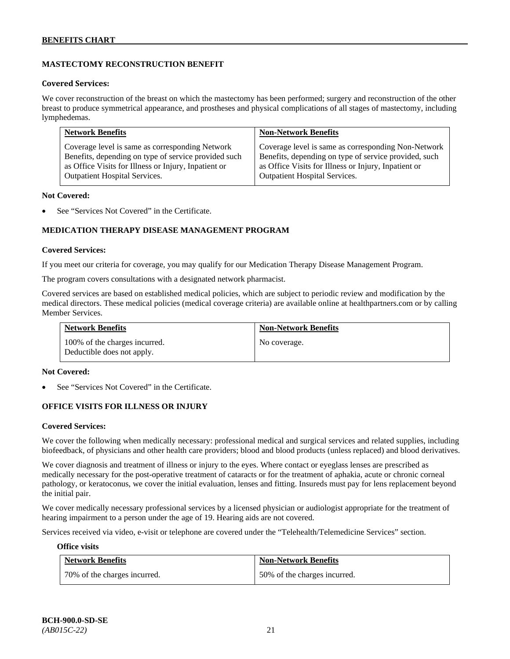# **MASTECTOMY RECONSTRUCTION BENEFIT**

#### **Covered Services:**

We cover reconstruction of the breast on which the mastectomy has been performed; surgery and reconstruction of the other breast to produce symmetrical appearance, and prostheses and physical complications of all stages of mastectomy, including lymphedemas.

| <b>Network Benefits</b>                              | <b>Non-Network Benefits</b>                           |
|------------------------------------------------------|-------------------------------------------------------|
| Coverage level is same as corresponding Network      | Coverage level is same as corresponding Non-Network   |
| Benefits, depending on type of service provided such | Benefits, depending on type of service provided, such |
| as Office Visits for Illness or Injury, Inpatient or | as Office Visits for Illness or Injury, Inpatient or  |
| <b>Outpatient Hospital Services.</b>                 | Outpatient Hospital Services.                         |

#### **Not Covered:**

See "Services Not Covered" in the Certificate.

# **MEDICATION THERAPY DISEASE MANAGEMENT PROGRAM**

#### **Covered Services:**

If you meet our criteria for coverage, you may qualify for our Medication Therapy Disease Management Program.

The program covers consultations with a designated network pharmacist.

Covered services are based on established medical policies, which are subject to periodic review and modification by the medical directors. These medical policies (medical coverage criteria) are available online at [healthpartners.com](http://www.healthpartners.com/) or by calling Member Services.

| <b>Network Benefits</b>                                     | <b>Non-Network Benefits</b> |
|-------------------------------------------------------------|-----------------------------|
| 100% of the charges incurred.<br>Deductible does not apply. | No coverage.                |

#### **Not Covered:**

See "Services Not Covered" in the Certificate.

# **OFFICE VISITS FOR ILLNESS OR INJURY**

#### **Covered Services:**

We cover the following when medically necessary: professional medical and surgical services and related supplies, including biofeedback, of physicians and other health care providers; blood and blood products (unless replaced) and blood derivatives.

We cover diagnosis and treatment of illness or injury to the eyes. Where contact or eyeglass lenses are prescribed as medically necessary for the post-operative treatment of cataracts or for the treatment of aphakia, acute or chronic corneal pathology, or keratoconus, we cover the initial evaluation, lenses and fitting. Insureds must pay for lens replacement beyond the initial pair.

We cover medically necessary professional services by a licensed physician or audiologist appropriate for the treatment of hearing impairment to a person under the age of 19. Hearing aids are not covered.

Services received via video, e-visit or telephone are covered under the "Telehealth/Telemedicine Services" section.

#### **Office visits**

| <b>Network Benefits</b>      | <b>Non-Network Benefits</b>  |
|------------------------------|------------------------------|
| 70% of the charges incurred. | 50% of the charges incurred. |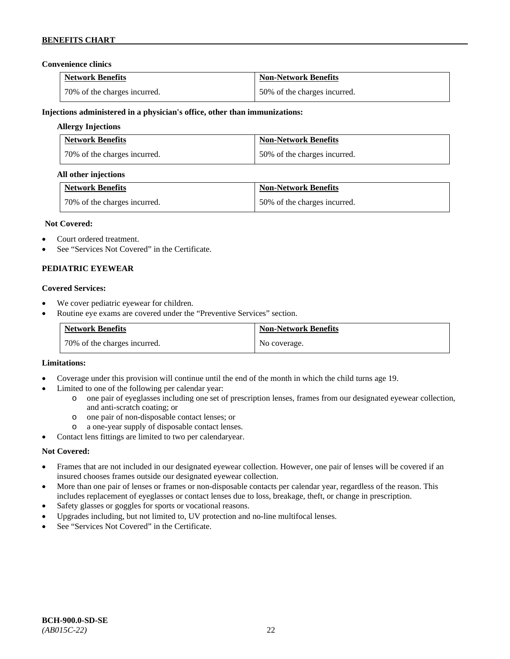# **Convenience clinics**

| <b>Network Benefits</b>      | <b>Non-Network Benefits</b>  |
|------------------------------|------------------------------|
| 70% of the charges incurred. | 50% of the charges incurred. |

#### **Injections administered in a physician's office, other than immunizations:**

#### **Allergy Injections**

| <b>Network Benefits</b>      | <b>Non-Network Benefits</b>  |
|------------------------------|------------------------------|
| 70% of the charges incurred. | 50% of the charges incurred. |

#### **All other injections**

| <b>Network Benefits</b>      | <b>Non-Network Benefits</b>  |
|------------------------------|------------------------------|
| 70% of the charges incurred. | 50% of the charges incurred. |

#### **Not Covered:**

- Court ordered treatment.
- See "Services Not Covered" in the Certificate.

# **PEDIATRIC EYEWEAR**

#### **Covered Services:**

- We cover pediatric eyewear for children.
- Routine eye exams are covered under the "Preventive Services" section.

| <b>Network Benefits</b>        | <b>Non-Network Benefits</b> |
|--------------------------------|-----------------------------|
| 1 70% of the charges incurred. | No coverage.                |

#### **Limitations:**

- Coverage under this provision will continue until the end of the month in which the child turns age 19.
- Limited to one of the following per calendar year:
	- o one pair of eyeglasses including one set of prescription lenses, frames from our designated eyewear collection, and anti-scratch coating; or
	- o one pair of non-disposable contact lenses; or
	- a one-year supply of disposable contact lenses.
- Contact lens fittings are limited to two per calendaryear.

# **Not Covered:**

- Frames that are not included in our designated eyewear collection. However, one pair of lenses will be covered if an insured chooses frames outside our designated eyewear collection.
- More than one pair of lenses or frames or non-disposable contacts per calendar year, regardless of the reason. This includes replacement of eyeglasses or contact lenses due to loss, breakage, theft, or change in prescription.
- Safety glasses or goggles for sports or vocational reasons.
- Upgrades including, but not limited to, UV protection and no-line multifocal lenses.
- See "Services Not Covered" in the Certificate.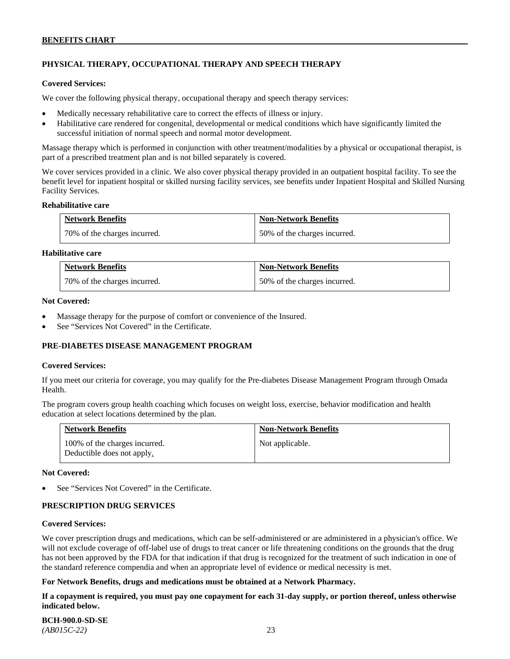# **PHYSICAL THERAPY, OCCUPATIONAL THERAPY AND SPEECH THERAPY**

#### **Covered Services:**

We cover the following physical therapy, occupational therapy and speech therapy services:

- Medically necessary rehabilitative care to correct the effects of illness or injury.
- Habilitative care rendered for congenital, developmental or medical conditions which have significantly limited the successful initiation of normal speech and normal motor development.

Massage therapy which is performed in conjunction with other treatment/modalities by a physical or occupational therapist, is part of a prescribed treatment plan and is not billed separately is covered.

We cover services provided in a clinic. We also cover physical therapy provided in an outpatient hospital facility. To see the benefit level for inpatient hospital or skilled nursing facility services, see benefits under Inpatient Hospital and Skilled Nursing Facility Services.

#### **Rehabilitative care**

| <b>Network Benefits</b>      | <b>Non-Network Benefits</b>  |
|------------------------------|------------------------------|
| 70% of the charges incurred. | 50% of the charges incurred. |

# **Habilitative care**

| <b>Network Benefits</b>      | <b>Non-Network Benefits</b>  |
|------------------------------|------------------------------|
| 70% of the charges incurred. | 50% of the charges incurred. |

#### **Not Covered:**

- Massage therapy for the purpose of comfort or convenience of the Insured.
- See "Services Not Covered" in the Certificate.

# **PRE-DIABETES DISEASE MANAGEMENT PROGRAM**

#### **Covered Services:**

If you meet our criteria for coverage, you may qualify for the Pre-diabetes Disease Management Program through Omada Health.

The program covers group health coaching which focuses on weight loss, exercise, behavior modification and health education at select locations determined by the plan.

| <b>Network Benefits</b>                                     | <b>Non-Network Benefits</b> |
|-------------------------------------------------------------|-----------------------------|
| 100% of the charges incurred.<br>Deductible does not apply. | Not applicable.             |

#### **Not Covered:**

See "Services Not Covered" in the Certificate.

# **PRESCRIPTION DRUG SERVICES**

#### **Covered Services:**

We cover prescription drugs and medications, which can be self-administered or are administered in a physician's office. We will not exclude coverage of off-label use of drugs to treat cancer or life threatening conditions on the grounds that the drug has not been approved by the FDA for that indication if that drug is recognized for the treatment of such indication in one of the standard reference compendia and when an appropriate level of evidence or medical necessity is met.

# **For Network Benefits, drugs and medications must be obtained at a Network Pharmacy.**

**If a copayment is required, you must pay one copayment for each 31-day supply, or portion thereof, unless otherwise indicated below.**

**BCH-900.0-SD-SE**  *(AB015C-22)* 23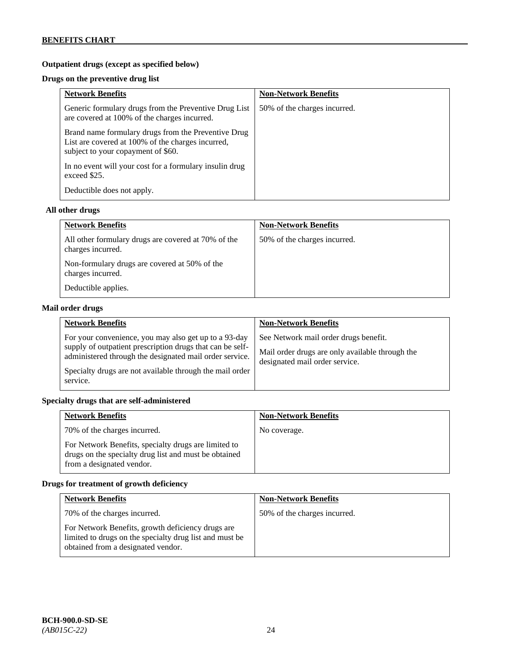# **Outpatient drugs (except as specified below)**

# **Drugs on the preventive drug list**

| <b>Network Benefits</b>                                                                                                                        | <b>Non-Network Benefits</b>  |
|------------------------------------------------------------------------------------------------------------------------------------------------|------------------------------|
| Generic formulary drugs from the Preventive Drug List<br>are covered at 100% of the charges incurred.                                          | 50% of the charges incurred. |
| Brand name formulary drugs from the Preventive Drug<br>List are covered at 100% of the charges incurred,<br>subject to your copayment of \$60. |                              |
| In no event will your cost for a formulary insulin drug<br>exceed \$25.                                                                        |                              |
| Deductible does not apply.                                                                                                                     |                              |

#### **All other drugs**

| <b>Network Benefits</b>                                                  | <b>Non-Network Benefits</b>  |
|--------------------------------------------------------------------------|------------------------------|
| All other formulary drugs are covered at 70% of the<br>charges incurred. | 50% of the charges incurred. |
| Non-formulary drugs are covered at 50% of the<br>charges incurred.       |                              |
| Deductible applies.                                                      |                              |

# **Mail order drugs**

| <b>Network Benefits</b>                                                                                                                                                                                                                               | <b>Non-Network Benefits</b>                                                                                                |
|-------------------------------------------------------------------------------------------------------------------------------------------------------------------------------------------------------------------------------------------------------|----------------------------------------------------------------------------------------------------------------------------|
| For your convenience, you may also get up to a 93-day<br>supply of outpatient prescription drugs that can be self-<br>administered through the designated mail order service.<br>Specialty drugs are not available through the mail order<br>service. | See Network mail order drugs benefit.<br>Mail order drugs are only available through the<br>designated mail order service. |

# **Specialty drugs that are self-administered**

| <b>Network Benefits</b>                                                                                                                    | <b>Non-Network Benefits</b> |
|--------------------------------------------------------------------------------------------------------------------------------------------|-----------------------------|
| 70% of the charges incurred.                                                                                                               | No coverage.                |
| For Network Benefits, specialty drugs are limited to<br>drugs on the specialty drug list and must be obtained<br>from a designated vendor. |                             |

# **Drugs for treatment of growth deficiency**

| <b>Network Benefits</b>                                                                                                                            | <b>Non-Network Benefits</b>  |
|----------------------------------------------------------------------------------------------------------------------------------------------------|------------------------------|
| 70% of the charges incurred.                                                                                                                       | 50% of the charges incurred. |
| For Network Benefits, growth deficiency drugs are<br>limited to drugs on the specialty drug list and must be<br>obtained from a designated vendor. |                              |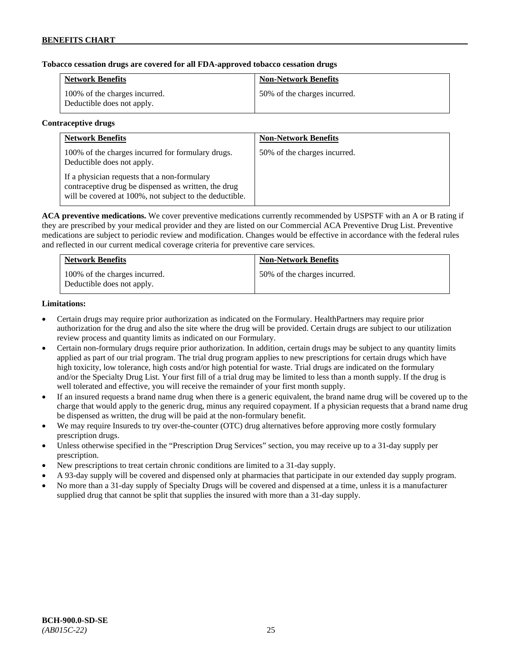# **Tobacco cessation drugs are covered for all FDA-approved tobacco cessation drugs**

| <b>Network Benefits</b>                                     | <b>Non-Network Benefits</b>  |
|-------------------------------------------------------------|------------------------------|
| 100% of the charges incurred.<br>Deductible does not apply. | 50% of the charges incurred. |

#### **Contraceptive drugs**

| <b>Network Benefits</b>                                                                                                                                         | <b>Non-Network Benefits</b>  |
|-----------------------------------------------------------------------------------------------------------------------------------------------------------------|------------------------------|
| 100% of the charges incurred for formulary drugs.<br>Deductible does not apply.                                                                                 | 50% of the charges incurred. |
| If a physician requests that a non-formulary<br>contraceptive drug be dispensed as written, the drug<br>will be covered at 100%, not subject to the deductible. |                              |

**ACA preventive medications.** We cover preventive medications currently recommended by USPSTF with an A or B rating if they are prescribed by your medical provider and they are listed on our Commercial ACA Preventive Drug List. Preventive medications are subject to periodic review and modification. Changes would be effective in accordance with the federal rules and reflected in our current medical coverage criteria for preventive care services.

| <b>Network Benefits</b>                                     | <b>Non-Network Benefits</b>  |
|-------------------------------------------------------------|------------------------------|
| 100% of the charges incurred.<br>Deductible does not apply. | 50% of the charges incurred. |

# **Limitations:**

- Certain drugs may require prior authorization as indicated on the Formulary. HealthPartners may require prior authorization for the drug and also the site where the drug will be provided. Certain drugs are subject to our utilization review process and quantity limits as indicated on our Formulary.
- Certain non-formulary drugs require prior authorization. In addition, certain drugs may be subject to any quantity limits applied as part of our trial program. The trial drug program applies to new prescriptions for certain drugs which have high toxicity, low tolerance, high costs and/or high potential for waste. Trial drugs are indicated on the formulary and/or the Specialty Drug List. Your first fill of a trial drug may be limited to less than a month supply. If the drug is well tolerated and effective, you will receive the remainder of your first month supply.
- If an insured requests a brand name drug when there is a generic equivalent, the brand name drug will be covered up to the charge that would apply to the generic drug, minus any required copayment. If a physician requests that a brand name drug be dispensed as written, the drug will be paid at the non-formulary benefit.
- We may require Insureds to try over-the-counter (OTC) drug alternatives before approving more costly formulary prescription drugs.
- Unless otherwise specified in the "Prescription Drug Services" section, you may receive up to a 31-day supply per prescription.
- New prescriptions to treat certain chronic conditions are limited to a 31-day supply.
- A 93-day supply will be covered and dispensed only at pharmacies that participate in our extended day supply program.
- No more than a 31-day supply of Specialty Drugs will be covered and dispensed at a time, unless it is a manufacturer supplied drug that cannot be split that supplies the insured with more than a 31-day supply.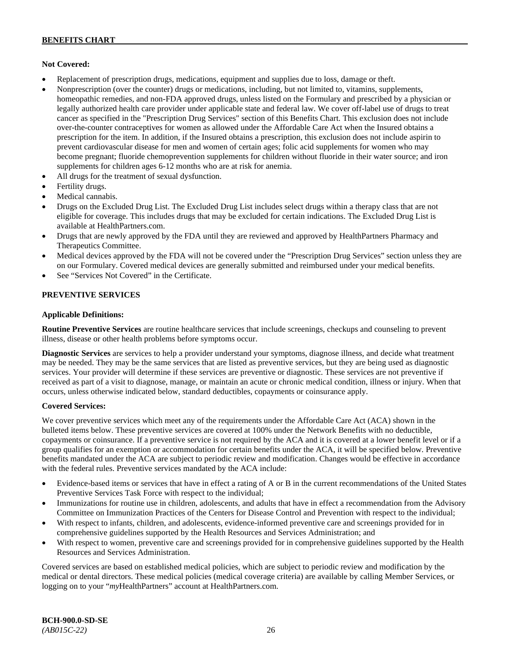# **Not Covered:**

- Replacement of prescription drugs, medications, equipment and supplies due to loss, damage or theft.
- Nonprescription (over the counter) drugs or medications, including, but not limited to, vitamins, supplements, homeopathic remedies, and non-FDA approved drugs, unless listed on the Formulary and prescribed by a physician or legally authorized health care provider under applicable state and federal law. We cover off-label use of drugs to treat cancer as specified in the "Prescription Drug Services" section of this Benefits Chart. This exclusion does not include over-the-counter contraceptives for women as allowed under the Affordable Care Act when the Insured obtains a prescription for the item. In addition, if the Insured obtains a prescription, this exclusion does not include aspirin to prevent cardiovascular disease for men and women of certain ages; folic acid supplements for women who may become pregnant; fluoride chemoprevention supplements for children without fluoride in their water source; and iron supplements for children ages 6-12 months who are at risk for anemia.
- All drugs for the treatment of sexual dysfunction.
- Fertility drugs.
- Medical cannabis.
- Drugs on the Excluded Drug List. The Excluded Drug List includes select drugs within a therapy class that are not eligible for coverage. This includes drugs that may be excluded for certain indications. The Excluded Drug List is available a[t HealthPartners.com.](http://www.healthpartners.com/)
- Drugs that are newly approved by the FDA until they are reviewed and approved by HealthPartners Pharmacy and Therapeutics Committee.
- Medical devices approved by the FDA will not be covered under the "Prescription Drug Services" section unless they are on our Formulary. Covered medical devices are generally submitted and reimbursed under your medical benefits.
- See "Services Not Covered" in the Certificate.

# **PREVENTIVE SERVICES**

#### **Applicable Definitions:**

**Routine Preventive Services** are routine healthcare services that include screenings, checkups and counseling to prevent illness, disease or other health problems before symptoms occur.

**Diagnostic Services** are services to help a provider understand your symptoms, diagnose illness, and decide what treatment may be needed. They may be the same services that are listed as preventive services, but they are being used as diagnostic services. Your provider will determine if these services are preventive or diagnostic. These services are not preventive if received as part of a visit to diagnose, manage, or maintain an acute or chronic medical condition, illness or injury. When that occurs, unless otherwise indicated below, standard deductibles, copayments or coinsurance apply.

# **Covered Services:**

We cover preventive services which meet any of the requirements under the Affordable Care Act (ACA) shown in the bulleted items below. These preventive services are covered at 100% under the Network Benefits with no deductible, copayments or coinsurance. If a preventive service is not required by the ACA and it is covered at a lower benefit level or if a group qualifies for an exemption or accommodation for certain benefits under the ACA, it will be specified below. Preventive benefits mandated under the ACA are subject to periodic review and modification. Changes would be effective in accordance with the federal rules. Preventive services mandated by the ACA include:

- Evidence-based items or services that have in effect a rating of A or B in the current recommendations of the United States Preventive Services Task Force with respect to the individual;
- Immunizations for routine use in children, adolescents, and adults that have in effect a recommendation from the Advisory Committee on Immunization Practices of the Centers for Disease Control and Prevention with respect to the individual;
- With respect to infants, children, and adolescents, evidence-informed preventive care and screenings provided for in comprehensive guidelines supported by the Health Resources and Services Administration; and
- With respect to women, preventive care and screenings provided for in comprehensive guidelines supported by the Health Resources and Services Administration.

Covered services are based on established medical policies, which are subject to periodic review and modification by the medical or dental directors. These medical policies (medical coverage criteria) are available by calling Member Services, or logging on to your "*my*HealthPartners" account at [HealthPartners.com.](http://www.healthpartners.com/)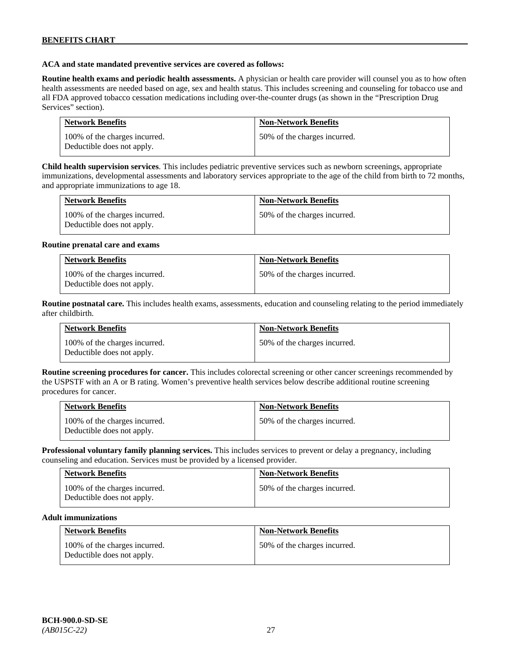#### **ACA and state mandated preventive services are covered as follows:**

**Routine health exams and periodic health assessments.** A physician or health care provider will counsel you as to how often health assessments are needed based on age, sex and health status. This includes screening and counseling for tobacco use and all FDA approved tobacco cessation medications including over-the-counter drugs (as shown in the "Prescription Drug Services" section).

| <b>Network Benefits</b>                                     | <b>Non-Network Benefits</b>  |
|-------------------------------------------------------------|------------------------------|
| 100% of the charges incurred.<br>Deductible does not apply. | 50% of the charges incurred. |

**Child health supervision services**. This includes pediatric preventive services such as newborn screenings, appropriate immunizations, developmental assessments and laboratory services appropriate to the age of the child from birth to 72 months, and appropriate immunizations to age 18.

| <b>Network Benefits</b>                                     | <b>Non-Network Benefits</b>  |
|-------------------------------------------------------------|------------------------------|
| 100% of the charges incurred.<br>Deductible does not apply. | 50% of the charges incurred. |

#### **Routine prenatal care and exams**

| <b>Network Benefits</b>                                     | <b>Non-Network Benefits</b>  |
|-------------------------------------------------------------|------------------------------|
| 100% of the charges incurred.<br>Deductible does not apply. | 50% of the charges incurred. |

**Routine postnatal care.** This includes health exams, assessments, education and counseling relating to the period immediately after childbirth.

| <b>Network Benefits</b>                                     | <b>Non-Network Benefits</b>  |
|-------------------------------------------------------------|------------------------------|
| 100% of the charges incurred.<br>Deductible does not apply. | 50% of the charges incurred. |

**Routine screening procedures for cancer.** This includes colorectal screening or other cancer screenings recommended by the USPSTF with an A or B rating. Women's preventive health services below describe additional routine screening procedures for cancer.

| <b>Network Benefits</b>                                     | <b>Non-Network Benefits</b>  |
|-------------------------------------------------------------|------------------------------|
| 100% of the charges incurred.<br>Deductible does not apply. | 50% of the charges incurred. |

**Professional voluntary family planning services.** This includes services to prevent or delay a pregnancy, including counseling and education. Services must be provided by a licensed provider.

| <b>Network Benefits</b>                                     | <b>Non-Network Benefits</b>  |
|-------------------------------------------------------------|------------------------------|
| 100% of the charges incurred.<br>Deductible does not apply. | 50% of the charges incurred. |

#### **Adult immunizations**

| <b>Network Benefits</b>                                     | <b>Non-Network Benefits</b>  |
|-------------------------------------------------------------|------------------------------|
| 100% of the charges incurred.<br>Deductible does not apply. | 50% of the charges incurred. |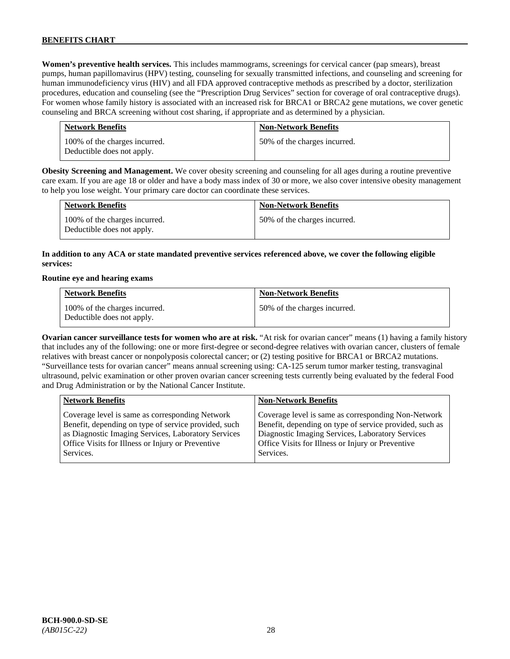**Women's preventive health services.** This includes mammograms, screenings for cervical cancer (pap smears), breast pumps, human papillomavirus (HPV) testing, counseling for sexually transmitted infections, and counseling and screening for human immunodeficiency virus (HIV) and all FDA approved contraceptive methods as prescribed by a doctor, sterilization procedures, education and counseling (see the "Prescription Drug Services" section for coverage of oral contraceptive drugs). For women whose family history is associated with an increased risk for BRCA1 or BRCA2 gene mutations, we cover genetic counseling and BRCA screening without cost sharing, if appropriate and as determined by a physician.

| <b>Network Benefits</b>                                     | <b>Non-Network Benefits</b>  |
|-------------------------------------------------------------|------------------------------|
| 100% of the charges incurred.<br>Deductible does not apply. | 50% of the charges incurred. |

**Obesity Screening and Management.** We cover obesity screening and counseling for all ages during a routine preventive care exam. If you are age 18 or older and have a body mass index of 30 or more, we also cover intensive obesity management to help you lose weight. Your primary care doctor can coordinate these services.

| <b>Network Benefits</b>                                     | <b>Non-Network Benefits</b>  |
|-------------------------------------------------------------|------------------------------|
| 100% of the charges incurred.<br>Deductible does not apply. | 50% of the charges incurred. |

# **In addition to any ACA or state mandated preventive services referenced above, we cover the following eligible services:**

#### **Routine eye and hearing exams**

| <b>Network Benefits</b>                                     | <b>Non-Network Benefits</b>  |
|-------------------------------------------------------------|------------------------------|
| 100% of the charges incurred.<br>Deductible does not apply. | 50% of the charges incurred. |

**Ovarian cancer surveillance tests for women who are at risk.** "At risk for ovarian cancer" means (1) having a family history that includes any of the following: one or more first-degree or second-degree relatives with ovarian cancer, clusters of female relatives with breast cancer or nonpolyposis colorectal cancer; or (2) testing positive for BRCA1 or BRCA2 mutations. "Surveillance tests for ovarian cancer" means annual screening using: CA-125 serum tumor marker testing, transvaginal ultrasound, pelvic examination or other proven ovarian cancer screening tests currently being evaluated by the federal Food and Drug Administration or by the National Cancer Institute.

| <b>Network Benefits</b>                              | <b>Non-Network Benefits</b>                             |
|------------------------------------------------------|---------------------------------------------------------|
| Coverage level is same as corresponding Network      | Coverage level is same as corresponding Non-Network     |
| Benefit, depending on type of service provided, such | Benefit, depending on type of service provided, such as |
| as Diagnostic Imaging Services, Laboratory Services  | Diagnostic Imaging Services, Laboratory Services        |
| Office Visits for Illness or Injury or Preventive    | Office Visits for Illness or Injury or Preventive       |
| Services.                                            | Services.                                               |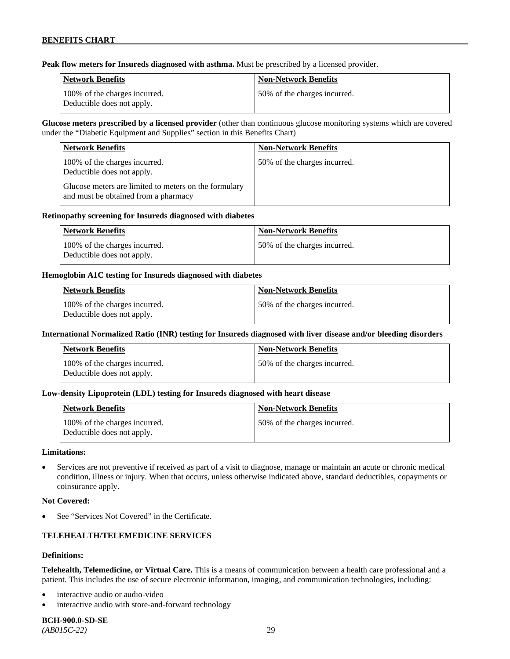**Peak flow meters for Insureds diagnosed with asthma.** Must be prescribed by a licensed provider.

| Network Benefits                                            | <b>Non-Network Benefits</b>   |
|-------------------------------------------------------------|-------------------------------|
| 100% of the charges incurred.<br>Deductible does not apply. | 150% of the charges incurred. |

**Glucose meters prescribed by a licensed provider** (other than continuous glucose monitoring systems which are covered under the "Diabetic Equipment and Supplies" section in this Benefits Chart)

| <b>Network Benefits</b>                                                                       | <b>Non-Network Benefits</b>  |
|-----------------------------------------------------------------------------------------------|------------------------------|
| 100% of the charges incurred.<br>Deductible does not apply.                                   | 50% of the charges incurred. |
| Glucose meters are limited to meters on the formulary<br>and must be obtained from a pharmacy |                              |

#### **Retinopathy screening for Insureds diagnosed with diabetes**

| Network Benefits                                            | Non-Network Benefits          |
|-------------------------------------------------------------|-------------------------------|
| 100% of the charges incurred.<br>Deductible does not apply. | 150% of the charges incurred. |

#### **Hemoglobin A1C testing for Insureds diagnosed with diabetes**

| Network Benefits                                            | <b>Non-Network Benefits</b>  |
|-------------------------------------------------------------|------------------------------|
| 100% of the charges incurred.<br>Deductible does not apply. | 50% of the charges incurred. |

# **International Normalized Ratio (INR) testing for Insureds diagnosed with liver disease and/or bleeding disorders**

| Network Benefits                                            | <b>Non-Network Benefits</b>  |
|-------------------------------------------------------------|------------------------------|
| 100% of the charges incurred.<br>Deductible does not apply. | 50% of the charges incurred. |

# **Low-density Lipoprotein (LDL) testing for Insureds diagnosed with heart disease**

| <b>Network Benefits</b>                                     | <b>Non-Network Benefits</b>   |
|-------------------------------------------------------------|-------------------------------|
| 100% of the charges incurred.<br>Deductible does not apply. | 150% of the charges incurred. |

#### **Limitations:**

• Services are not preventive if received as part of a visit to diagnose, manage or maintain an acute or chronic medical condition, illness or injury. When that occurs, unless otherwise indicated above, standard deductibles, copayments or coinsurance apply.

#### **Not Covered:**

See "Services Not Covered" in the Certificate.

# **TELEHEALTH/TELEMEDICINE SERVICES**

#### **Definitions:**

**Telehealth, Telemedicine, or Virtual Care.** This is a means of communication between a health care professional and a patient. This includes the use of secure electronic information, imaging, and communication technologies, including:

- interactive audio or audio-video
- interactive audio with store-and-forward technology

**BCH-900.0-SD-SE**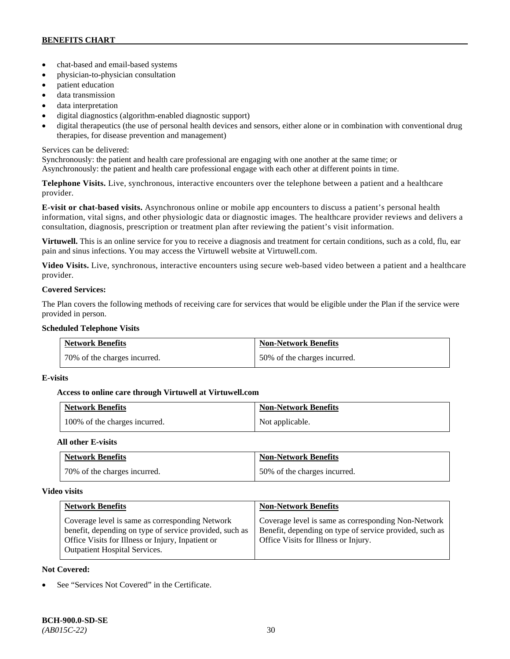- chat-based and email-based systems
- physician-to-physician consultation
- patient education
- data transmission
- data interpretation
- digital diagnostics (algorithm-enabled diagnostic support)
- digital therapeutics (the use of personal health devices and sensors, either alone or in combination with conventional drug therapies, for disease prevention and management)

# Services can be delivered:

Synchronously: the patient and health care professional are engaging with one another at the same time; or Asynchronously: the patient and health care professional engage with each other at different points in time.

**Telephone Visits.** Live, synchronous, interactive encounters over the telephone between a patient and a healthcare provider.

**E-visit or chat-based visits.** Asynchronous online or mobile app encounters to discuss a patient's personal health information, vital signs, and other physiologic data or diagnostic images. The healthcare provider reviews and delivers a consultation, diagnosis, prescription or treatment plan after reviewing the patient's visit information.

**Virtuwell.** This is an online service for you to receive a diagnosis and treatment for certain conditions, such as a cold, flu, ear pain and sinus infections. You may access the Virtuwell website at [Virtuwell.com.](https://www.virtuwell.com/)

**Video Visits.** Live, synchronous, interactive encounters using secure web-based video between a patient and a healthcare provider.

# **Covered Services:**

The Plan covers the following methods of receiving care for services that would be eligible under the Plan if the service were provided in person.

#### **Scheduled Telephone Visits**

| <b>Network Benefits</b>      | <b>Non-Network Benefits</b>  |
|------------------------------|------------------------------|
| 70% of the charges incurred. | 50% of the charges incurred. |

# **E-visits**

# **Access to online care through Virtuwell at [Virtuwell.com](http://www.virtuwell.com/)**

| <b>Network Benefits</b>       | <b>Non-Network Benefits</b> |
|-------------------------------|-----------------------------|
| 100% of the charges incurred. | Not applicable.             |

# **All other E-visits**

| <b>Network Benefits</b>      | <b>Non-Network Benefits</b>  |
|------------------------------|------------------------------|
| 70% of the charges incurred. | 50% of the charges incurred. |

# **Video visits**

| <b>Network Benefits</b>                                                                                                                                                                                 | <b>Non-Network Benefits</b>                                                                                                                            |
|---------------------------------------------------------------------------------------------------------------------------------------------------------------------------------------------------------|--------------------------------------------------------------------------------------------------------------------------------------------------------|
| Coverage level is same as corresponding Network<br>benefit, depending on type of service provided, such as<br>Office Visits for Illness or Injury, Inpatient or<br><b>Outpatient Hospital Services.</b> | Coverage level is same as corresponding Non-Network<br>Benefit, depending on type of service provided, such as<br>Office Visits for Illness or Injury. |

# **Not Covered:**

See "Services Not Covered" in the Certificate.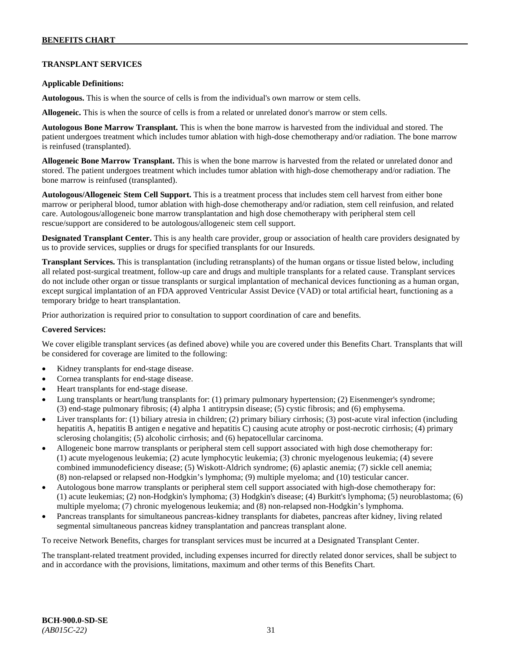# **TRANSPLANT SERVICES**

#### **Applicable Definitions:**

**Autologous.** This is when the source of cells is from the individual's own marrow or stem cells.

**Allogeneic.** This is when the source of cells is from a related or unrelated donor's marrow or stem cells.

**Autologous Bone Marrow Transplant.** This is when the bone marrow is harvested from the individual and stored. The patient undergoes treatment which includes tumor ablation with high-dose chemotherapy and/or radiation. The bone marrow is reinfused (transplanted).

**Allogeneic Bone Marrow Transplant.** This is when the bone marrow is harvested from the related or unrelated donor and stored. The patient undergoes treatment which includes tumor ablation with high-dose chemotherapy and/or radiation. The bone marrow is reinfused (transplanted).

**Autologous/Allogeneic Stem Cell Support.** This is a treatment process that includes stem cell harvest from either bone marrow or peripheral blood, tumor ablation with high-dose chemotherapy and/or radiation, stem cell reinfusion, and related care. Autologous/allogeneic bone marrow transplantation and high dose chemotherapy with peripheral stem cell rescue/support are considered to be autologous/allogeneic stem cell support.

**Designated Transplant Center.** This is any health care provider, group or association of health care providers designated by us to provide services, supplies or drugs for specified transplants for our Insureds.

**Transplant Services.** This is transplantation (including retransplants) of the human organs or tissue listed below, including all related post-surgical treatment, follow-up care and drugs and multiple transplants for a related cause. Transplant services do not include other organ or tissue transplants or surgical implantation of mechanical devices functioning as a human organ, except surgical implantation of an FDA approved Ventricular Assist Device (VAD) or total artificial heart, functioning as a temporary bridge to heart transplantation.

Prior authorization is required prior to consultation to support coordination of care and benefits.

#### **Covered Services:**

We cover eligible transplant services (as defined above) while you are covered under this Benefits Chart. Transplants that will be considered for coverage are limited to the following:

- Kidney transplants for end-stage disease.
- Cornea transplants for end-stage disease.
- Heart transplants for end-stage disease.
- Lung transplants or heart/lung transplants for: (1) primary pulmonary hypertension; (2) Eisenmenger's syndrome; (3) end-stage pulmonary fibrosis; (4) alpha 1 antitrypsin disease; (5) cystic fibrosis; and (6) emphysema.
- Liver transplants for: (1) biliary atresia in children; (2) primary biliary cirrhosis; (3) post-acute viral infection (including hepatitis A, hepatitis B antigen e negative and hepatitis C) causing acute atrophy or post-necrotic cirrhosis; (4) primary sclerosing cholangitis; (5) alcoholic cirrhosis; and (6) hepatocellular carcinoma.
- Allogeneic bone marrow transplants or peripheral stem cell support associated with high dose chemotherapy for: (1) acute myelogenous leukemia; (2) acute lymphocytic leukemia; (3) chronic myelogenous leukemia; (4) severe combined immunodeficiency disease; (5) Wiskott-Aldrich syndrome; (6) aplastic anemia; (7) sickle cell anemia; (8) non-relapsed or relapsed non-Hodgkin's lymphoma; (9) multiple myeloma; and (10) testicular cancer.
- Autologous bone marrow transplants or peripheral stem cell support associated with high-dose chemotherapy for: (1) acute leukemias; (2) non-Hodgkin's lymphoma; (3) Hodgkin's disease; (4) Burkitt's lymphoma; (5) neuroblastoma; (6) multiple myeloma; (7) chronic myelogenous leukemia; and (8) non-relapsed non-Hodgkin's lymphoma.
- Pancreas transplants for simultaneous pancreas-kidney transplants for diabetes, pancreas after kidney, living related segmental simultaneous pancreas kidney transplantation and pancreas transplant alone.

To receive Network Benefits, charges for transplant services must be incurred at a Designated Transplant Center.

The transplant-related treatment provided, including expenses incurred for directly related donor services, shall be subject to and in accordance with the provisions, limitations, maximum and other terms of this Benefits Chart.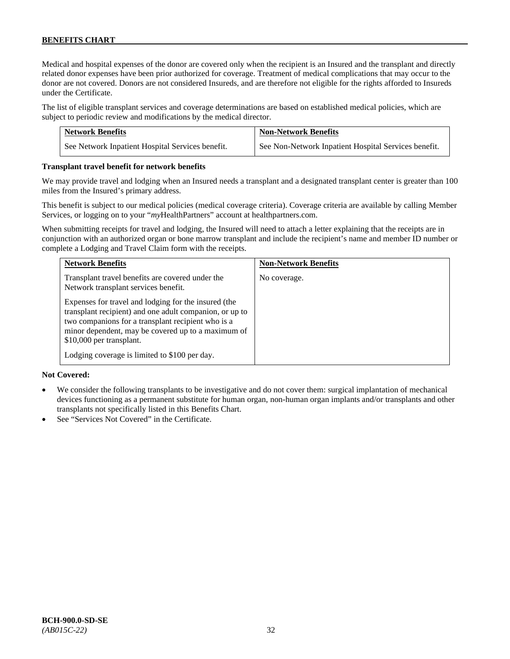Medical and hospital expenses of the donor are covered only when the recipient is an Insured and the transplant and directly related donor expenses have been prior authorized for coverage. Treatment of medical complications that may occur to the donor are not covered. Donors are not considered Insureds, and are therefore not eligible for the rights afforded to Insureds under the Certificate.

The list of eligible transplant services and coverage determinations are based on established medical policies, which are subject to periodic review and modifications by the medical director.

| <b>Network Benefits</b>                          | <b>Non-Network Benefits</b>                          |
|--------------------------------------------------|------------------------------------------------------|
| See Network Inpatient Hospital Services benefit. | See Non-Network Inpatient Hospital Services benefit. |

#### **Transplant travel benefit for network benefits**

We may provide travel and lodging when an Insured needs a transplant and a designated transplant center is greater than 100 miles from the Insured's primary address.

This benefit is subject to our medical policies (medical coverage criteria). Coverage criteria are available by calling Member Services, or logging on to your "*my*HealthPartners" account a[t healthpartners.com.](http://www.healthpartners.com/)

When submitting receipts for travel and lodging, the Insured will need to attach a letter explaining that the receipts are in conjunction with an authorized organ or bone marrow transplant and include the recipient's name and member ID number or complete a Lodging and Travel Claim form with the receipts.

| <b>Network Benefits</b>                                                                                                                                                                                                                                                                                  | <b>Non-Network Benefits</b> |
|----------------------------------------------------------------------------------------------------------------------------------------------------------------------------------------------------------------------------------------------------------------------------------------------------------|-----------------------------|
| Transplant travel benefits are covered under the<br>Network transplant services benefit.                                                                                                                                                                                                                 | No coverage.                |
| Expenses for travel and lodging for the insured (the<br>transplant recipient) and one adult companion, or up to<br>two companions for a transplant recipient who is a<br>minor dependent, may be covered up to a maximum of<br>\$10,000 per transplant.<br>Lodging coverage is limited to \$100 per day. |                             |

# **Not Covered:**

- We consider the following transplants to be investigative and do not cover them: surgical implantation of mechanical devices functioning as a permanent substitute for human organ, non-human organ implants and/or transplants and other transplants not specifically listed in this Benefits Chart.
- See "Services Not Covered" in the Certificate.